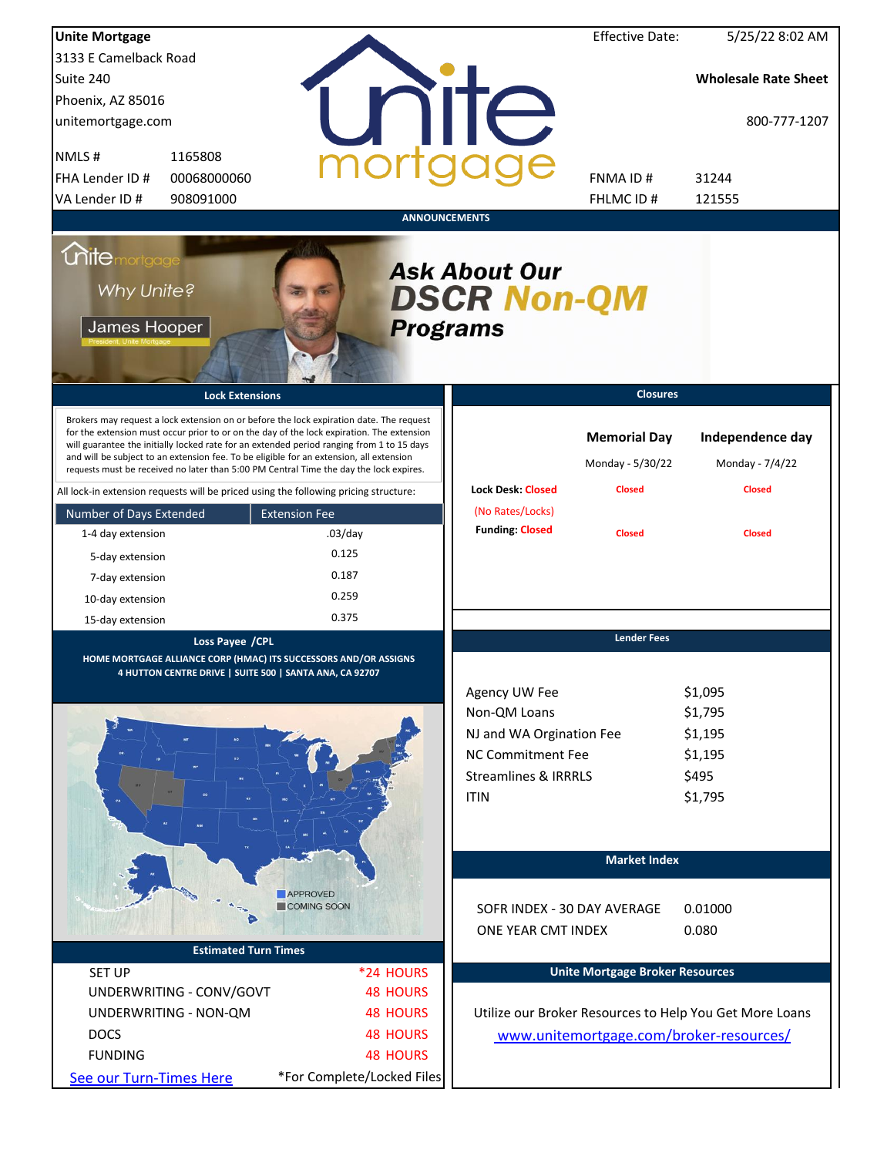| <b>Unite Mortgage</b>                              |                                                                                                                                                                                                                                                                                                                                                                                                                                                                        |                            |                                                                                                                                         | <b>Effective Date:</b>                                   | 5/25/22 8:02 AM                                              |
|----------------------------------------------------|------------------------------------------------------------------------------------------------------------------------------------------------------------------------------------------------------------------------------------------------------------------------------------------------------------------------------------------------------------------------------------------------------------------------------------------------------------------------|----------------------------|-----------------------------------------------------------------------------------------------------------------------------------------|----------------------------------------------------------|--------------------------------------------------------------|
| 3133 E Camelback Road                              |                                                                                                                                                                                                                                                                                                                                                                                                                                                                        |                            |                                                                                                                                         |                                                          |                                                              |
| Suite 240                                          |                                                                                                                                                                                                                                                                                                                                                                                                                                                                        |                            |                                                                                                                                         |                                                          | <b>Wholesale Rate Sheet</b>                                  |
| Phoenix, AZ 85016                                  |                                                                                                                                                                                                                                                                                                                                                                                                                                                                        |                            |                                                                                                                                         |                                                          |                                                              |
| unitemortgage.com                                  |                                                                                                                                                                                                                                                                                                                                                                                                                                                                        |                            | <b>TITE</b>                                                                                                                             |                                                          | 800-777-1207                                                 |
| NMLS#                                              | 1165808                                                                                                                                                                                                                                                                                                                                                                                                                                                                |                            |                                                                                                                                         |                                                          |                                                              |
| FHA Lender ID #                                    | 00068000060                                                                                                                                                                                                                                                                                                                                                                                                                                                            |                            |                                                                                                                                         | <b>FNMAID#</b>                                           | 31244                                                        |
| VA Lender ID #                                     | 908091000                                                                                                                                                                                                                                                                                                                                                                                                                                                              |                            |                                                                                                                                         | <b>FHLMCID#</b>                                          | 121555                                                       |
|                                                    |                                                                                                                                                                                                                                                                                                                                                                                                                                                                        | <b>ANNOUNCEMENTS</b>       |                                                                                                                                         |                                                          |                                                              |
| <b>Chitemortgage</b><br>Why Unite?<br>James Hooper |                                                                                                                                                                                                                                                                                                                                                                                                                                                                        | <b>Programs</b>            | <b>Ask About Our</b><br><b>DSCR Non-QM</b>                                                                                              |                                                          |                                                              |
|                                                    | <b>Lock Extensions</b>                                                                                                                                                                                                                                                                                                                                                                                                                                                 |                            |                                                                                                                                         | <b>Closures</b>                                          |                                                              |
|                                                    | Brokers may request a lock extension on or before the lock expiration date. The request<br>for the extension must occur prior to or on the day of the lock expiration. The extension<br>will guarantee the initially locked rate for an extended period ranging from 1 to 15 days<br>and will be subject to an extension fee. To be eligible for an extension, all extension<br>requests must be received no later than 5:00 PM Central Time the day the lock expires. |                            | <b>Lock Desk: Closed</b>                                                                                                                | <b>Memorial Day</b><br>Monday - 5/30/22<br><b>Closed</b> | Independence day<br>Monday - 7/4/22<br><b>Closed</b>         |
|                                                    | All lock-in extension requests will be priced using the following pricing structure:                                                                                                                                                                                                                                                                                                                                                                                   |                            | (No Rates/Locks)                                                                                                                        |                                                          |                                                              |
| Number of Days Extended                            | <b>Extension Fee</b>                                                                                                                                                                                                                                                                                                                                                                                                                                                   |                            | <b>Funding: Closed</b>                                                                                                                  |                                                          |                                                              |
| 1-4 day extension                                  |                                                                                                                                                                                                                                                                                                                                                                                                                                                                        | $.03$ /day                 |                                                                                                                                         | <b>Closed</b>                                            | <b>Closed</b>                                                |
| 5-day extension                                    |                                                                                                                                                                                                                                                                                                                                                                                                                                                                        | 0.125                      |                                                                                                                                         |                                                          |                                                              |
| 7-day extension                                    |                                                                                                                                                                                                                                                                                                                                                                                                                                                                        | 0.187                      |                                                                                                                                         |                                                          |                                                              |
| 10-day extension                                   |                                                                                                                                                                                                                                                                                                                                                                                                                                                                        | 0.259                      |                                                                                                                                         |                                                          |                                                              |
| 15-day extension                                   |                                                                                                                                                                                                                                                                                                                                                                                                                                                                        | 0.375                      |                                                                                                                                         |                                                          |                                                              |
|                                                    | Loss Payee / CPL<br>HOME MORTGAGE ALLIANCE CORP (HMAC) ITS SUCCESSORS AND/OR ASSIGNS<br>4 HUTTON CENTRE DRIVE   SUITE 500   SANTA ANA, CA 92707                                                                                                                                                                                                                                                                                                                        |                            | Agency UW Fee<br>Non-QM Loans<br>NJ and WA Orgination Fee<br><b>NC Commitment Fee</b><br><b>Streamlines &amp; IRRRLS</b><br><b>ITIN</b> | <b>Lender Fees</b>                                       | \$1,095<br>\$1,795<br>\$1,195<br>\$1,195<br>\$495<br>\$1,795 |
|                                                    | <b>APPROVED</b>                                                                                                                                                                                                                                                                                                                                                                                                                                                        |                            |                                                                                                                                         | <b>Market Index</b>                                      |                                                              |
|                                                    | COMING SOON                                                                                                                                                                                                                                                                                                                                                                                                                                                            |                            | SOFR INDEX - 30 DAY AVERAGE                                                                                                             |                                                          | 0.01000                                                      |
|                                                    |                                                                                                                                                                                                                                                                                                                                                                                                                                                                        |                            | ONE YEAR CMT INDEX                                                                                                                      |                                                          | 0.080                                                        |
|                                                    | <b>Estimated Turn Times</b>                                                                                                                                                                                                                                                                                                                                                                                                                                            |                            |                                                                                                                                         |                                                          |                                                              |
| <b>SET UP</b>                                      |                                                                                                                                                                                                                                                                                                                                                                                                                                                                        | *24 HOURS                  |                                                                                                                                         | <b>Unite Mortgage Broker Resources</b>                   |                                                              |
|                                                    | UNDERWRITING - CONV/GOVT                                                                                                                                                                                                                                                                                                                                                                                                                                               | <b>48 HOURS</b>            |                                                                                                                                         |                                                          |                                                              |
|                                                    | UNDERWRITING - NON-QM                                                                                                                                                                                                                                                                                                                                                                                                                                                  | <b>48 HOURS</b>            |                                                                                                                                         |                                                          | Utilize our Broker Resources to Help You Get More Loans      |
| <b>DOCS</b>                                        |                                                                                                                                                                                                                                                                                                                                                                                                                                                                        | <b>48 HOURS</b>            |                                                                                                                                         |                                                          | www.unitemortgage.com/broker-resources/                      |
| <b>FUNDING</b>                                     |                                                                                                                                                                                                                                                                                                                                                                                                                                                                        | <b>48 HOURS</b>            |                                                                                                                                         |                                                          |                                                              |
|                                                    |                                                                                                                                                                                                                                                                                                                                                                                                                                                                        | *For Complete/Locked Files |                                                                                                                                         |                                                          |                                                              |
| See our Turn-Times Here                            |                                                                                                                                                                                                                                                                                                                                                                                                                                                                        |                            |                                                                                                                                         |                                                          |                                                              |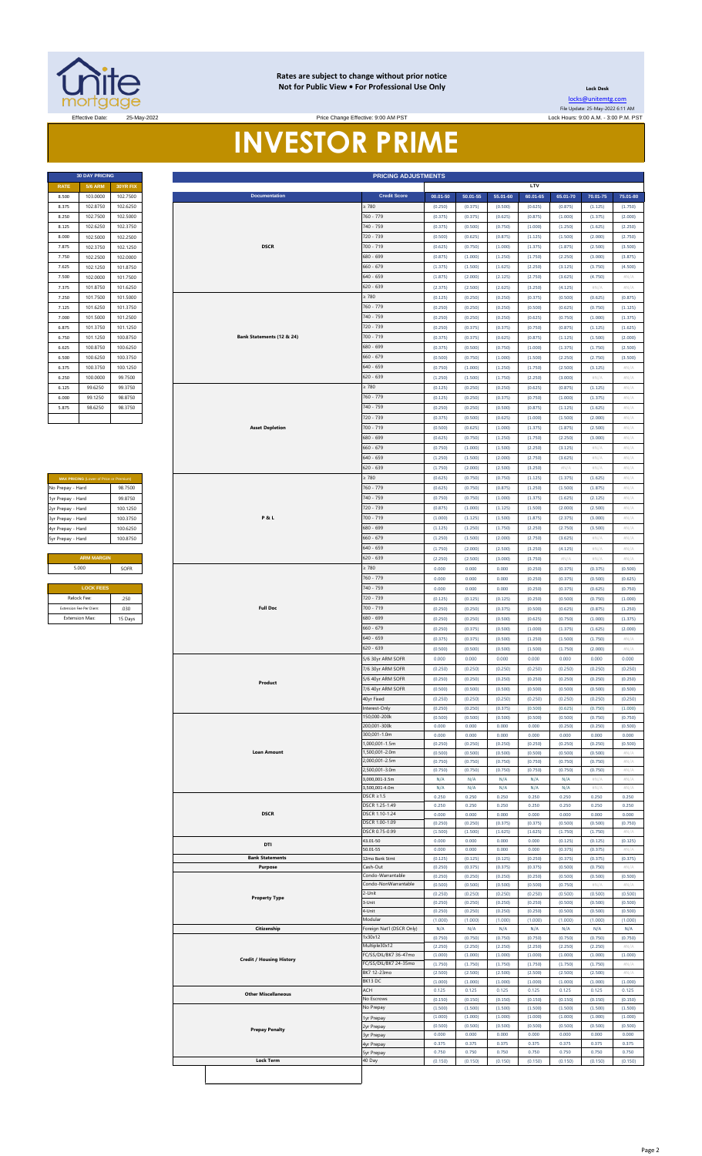

#### **Rates are subject to change without prior notice Not for Public View • For Professional Use Only <b>Leading Community** Lock Desk

Price Change Effective: 9:00 AM PST

**30 DAY PRICING PRICING ADJUSTMENTS**

[locks@unitemtg](mailto:locks@unitemtg.com).com File Update: 25-May-2022 6:11 AM Effective Date: 25-May-2022 Lock Hours: 9:00 A.M. - 3:00 P.M. PST

## **INVESTOR PRIME**

| <b>30 DAY PRICING</b> |                |          |  |  |  |  |  |  |  |
|-----------------------|----------------|----------|--|--|--|--|--|--|--|
| <b>RATE</b>           | <b>5/6 ARM</b> | 30YR FIX |  |  |  |  |  |  |  |
| 8.500                 | 103,0000       | 102.7500 |  |  |  |  |  |  |  |
| 8.375                 | 102.8750       | 102.6250 |  |  |  |  |  |  |  |
| 8.250                 | 102.7500       | 102.5000 |  |  |  |  |  |  |  |
| 8.125                 | 102.6250       | 102.3750 |  |  |  |  |  |  |  |
| 8.000                 | 102.5000       | 102.2500 |  |  |  |  |  |  |  |
| 7.875                 | 102.3750       | 102.1250 |  |  |  |  |  |  |  |
| 7.750                 | 102.2500       | 102.0000 |  |  |  |  |  |  |  |
| 7.625                 | 102.1250       | 101.8750 |  |  |  |  |  |  |  |
| 7.500                 | 102.0000       | 101.7500 |  |  |  |  |  |  |  |
| 7.375                 | 101.8750       | 101.6250 |  |  |  |  |  |  |  |
| 7.250                 | 101.7500       | 101.5000 |  |  |  |  |  |  |  |
| 7.125                 | 101.6250       | 101.3750 |  |  |  |  |  |  |  |
| 7.000                 | 101.5000       | 101.2500 |  |  |  |  |  |  |  |
| 6.875                 | 101.3750       | 101.1250 |  |  |  |  |  |  |  |
| 6.750                 | 101.1250       | 100.8750 |  |  |  |  |  |  |  |
| 6.625                 | 100.8750       | 100.6250 |  |  |  |  |  |  |  |
| 6.500                 | 100.6250       | 100.3750 |  |  |  |  |  |  |  |
| 6.375                 | 100.3750       | 100.1250 |  |  |  |  |  |  |  |
| 6.250                 | 100.0000       | 99.7500  |  |  |  |  |  |  |  |
| 6.125                 | 99.6250        | 99.3750  |  |  |  |  |  |  |  |
| 6.000                 | 99.1250        | 98.8750  |  |  |  |  |  |  |  |
| 5.875                 | 986250         | 98.3750  |  |  |  |  |  |  |  |
|                       |                |          |  |  |  |  |  |  |  |

| <b>MAX PRICING (Lower of Price or Premium)</b> |          |  |  |  |  |  |  |
|------------------------------------------------|----------|--|--|--|--|--|--|
| No Prepay - Hard                               | 98 7500  |  |  |  |  |  |  |
| 1yr Prepay - Hard                              | 99 8750  |  |  |  |  |  |  |
| 2yr Prepay - Hard                              | 100 1250 |  |  |  |  |  |  |
| 3yr Prepay - Hard                              | 100 3750 |  |  |  |  |  |  |
| 4yr Prepay - Hard                              | 100 6250 |  |  |  |  |  |  |
| 5yr Prepay - Hard                              | 100 8750 |  |  |  |  |  |  |
|                                                |          |  |  |  |  |  |  |
| <b>ARM MARGIN</b>                              |          |  |  |  |  |  |  |
| 5.000                                          | SOFR     |  |  |  |  |  |  |
|                                                |          |  |  |  |  |  |  |
| <b>LOCK FEES</b>                               |          |  |  |  |  |  |  |
| Relock Fee:                                    | 250      |  |  |  |  |  |  |
| Extension Fee Per Diem:                        | 030      |  |  |  |  |  |  |
| <b>Extension Max:</b>                          | 15 Days  |  |  |  |  |  |  |

| <b>RATE</b>       | <b>5/6 ARM</b>                          | 30YR FIX             |                            |                                 |                                                |                    |                    |                    | <b>LTV</b>         |                    |                            |                                       |
|-------------------|-----------------------------------------|----------------------|----------------------------|---------------------------------|------------------------------------------------|--------------------|--------------------|--------------------|--------------------|--------------------|----------------------------|---------------------------------------|
| 8.500             | 103.0000                                | 102.7500             |                            | <b>Documentation</b>            | <b>Credit Score</b>                            | $00.01 - 50$       | 50.01-55           | 55.01-60           | $60.01 - 65$       | 65.01-70           | 70.01-75                   | 75.01-80                              |
| 8.375             | 102.8750                                | 102.6250             |                            |                                 | 2780<br>760 - 779                              | (0.250)            | (0.375)            | (0.500)            | (0.625)            | (0.875)            | (1.125)                    | (1.750)                               |
| 8.250<br>8.125    | 102.7500<br>102.6250                    | 102.5000<br>102.3750 |                            |                                 | 740 - 759                                      | (0.375)<br>(0.375) | (0.375)<br>(0.500) | (0.625)<br>(0.750) | (0.875)<br>(1.000) | (1.000)<br>(1.250) | (1.375)<br>(1.625)         | (2.000)<br>(2.250)                    |
| 8.000             | 102.5000                                | 102.2500             |                            |                                 | 720 - 739                                      | (0.500)            | (0.625)            | (0.875)            | (1.125)            | (1.500)            | (2.000)                    | (2.750)                               |
| 7.875             | 102.3750                                | 102.1250             |                            | <b>DSCR</b>                     | 700 - 719                                      | (0.625)            | (0.750)            | (1.000)            | (1.375)            | (1.875)            | (2.500)                    | (3.500)                               |
| 7.750             | 102.2500                                | 102.0000             |                            |                                 | 680 - 699                                      | (0.875)            | (1.000)            | (1.250)            | (1.750)            | (2.250)            | (3.000)                    | (3.875)                               |
| 7.625             | 102.1250                                | 101.8750             |                            |                                 | $660 - 679$                                    | (1.375)            | (1.500)            | (1.625)            | (2.250)            | (3.125)            | (3.750)                    | (4.500)                               |
| 7.500             | 102.0000                                | 101.7500             |                            |                                 | $640 - 659$                                    | (1.875)            | (2.000)            | (2.125)            | (2.750)            | (3.625)            | (4.750)                    | $\#N/A$                               |
| 7.375             | 101.8750                                | 101.6250             |                            |                                 | 620 - 639                                      | (2.375)            | (2.500)            | (2.625)            | (3.250)            | (4.125)            | #N/A                       | #N/A                                  |
| 7.250             | 101.7500                                | 101.5000             |                            |                                 | $\geq 780$<br>760 - 779                        | (0.125)            | (0.250)            | (0.250)            | (0.375)            | (0.500)            | (0.625)                    | (0.875)                               |
| 7.125<br>7.000    | 101.6250<br>101.5000                    | 101.3750<br>101.2500 |                            |                                 | 740 - 759                                      | (0.250)<br>(0.250) | (0.250)<br>(0.250) | (0.250)<br>(0.250) | (0.500)<br>(0.625) | (0.625)<br>(0.750) | (0.750)<br>(1.000)         | (1.125)<br>(1.375)                    |
| 6.875             | 101.3750                                | 101.1250             |                            |                                 | 720 - 739                                      | (0.250)            | (0.375)            | (0.375)            | (0.750)            | (0.875)            | (1.125)                    | (1.625)                               |
| 6.750             | 101.1250                                | 100.8750             |                            | Bank Statements (12 & 24)       | 700 - 719                                      | (0.375)            | (0.375)            | (0.625)            | (0.875)            | (1.125)            | (1.500)                    | (2.000)                               |
| 6.625             | 100.8750                                | 100.6250             |                            |                                 | 680 - 699                                      | (0.375)            | (0.500)            | (0.750)            | (1.000)            | (1.375)            | (1.750)                    | (2.500)                               |
| 6.500             | 100.6250                                | 100.3750             |                            |                                 | 660 - 679                                      | (0.500)            | (0.750)            | (1.000)            | (1.500)            | (2.250)            | (2.750)                    | (3.500)                               |
| 6.375             | 100.3750                                | 100.1250             |                            |                                 | $640 - 659$                                    | (0.750)            | (1.000)            | (1.250)            | (1.750)            | (2.500)            | (3.125)                    | $\#N/A$                               |
| 6.250             | 100.0000                                | 99.7500              |                            |                                 | 620 - 639                                      | (1.250)            | (1.500)            | (1.750)            | (2.250)            | (3.000)            | #N//                       | #N/A                                  |
| 6.125<br>6.000    | 99.6250<br>99.1250                      | 99.3750<br>98.8750   |                            |                                 | $\geq 780$<br>760 - 779                        | (0.125)            | (0.250)            | (0.250)            | (0.625)            | (0.875)            | (1.125)                    | $\#N/A$<br>$\# \mathbb{N}/\mathbb{A}$ |
| 5.875             | 98.6250                                 | 98.3750              |                            |                                 | 740 - 759                                      | (0.125)<br>(0.250) | (0.250)<br>(0.250) | (0.375)<br>(0.500) | (0.750)<br>(0.875) | (1.000)<br>(1.125) | (1.375)<br>(1.625)         | #N/A                                  |
|                   |                                         |                      |                            |                                 | 720 - 739                                      | (0.375)            | (0.500)            | (0.625)            | (1.000)            | (1.500)            | (2.000)                    | #N/A                                  |
|                   |                                         |                      |                            | <b>Asset Depletion</b>          | 700 - 719                                      | (0.500)            | (0.625)            | (1.000)            | (1.375)            | (1.875)            | (2.500)                    | $\#N/A$                               |
|                   |                                         |                      |                            |                                 | 680 - 699                                      | (0.625)            | (0.750)            | (1.250)            | (1.750)            | (2.250)            | (3.000)                    | $\#N/A$                               |
|                   |                                         |                      |                            |                                 | $660 - 679$                                    | (0.750)            | (1.000)            | (1.500)            | (2.250)            | (3.125)            | #N//                       | #N/ $\rho$                            |
|                   |                                         |                      |                            |                                 | $640 - 659$                                    | (1.250)            | (1.500)            | (2.000)            | (2.750)            | (3.625)            | $\# \mathbb{N}/\mathbb{A}$ | $\# \mathbb{N}/\mathbb{A}$            |
|                   |                                         |                      |                            |                                 | 620 - 639                                      | (1.750)            | (2.000)            | (2.500)            | (3.250)            | #N/A               | $\# \mathbb{N}/\mathbb{A}$ | #N/A                                  |
| No Prepay - Hard  | MAX PRICING (Lower of Price or Premium) | 98.7500              |                            |                                 | 2780<br>760 - 779                              | (0.625)<br>(0.625) | (0.750)<br>(0.750) | (0.750)<br>(0.875) | (1.125)<br>(1.250) | (1.375)<br>(1.500) | (1.625)<br>(1.875)         | #N/A<br>#N/A                          |
| 1yr Prepay - Hard |                                         | 99.8750              |                            |                                 | 740 - 759                                      | (0.750)            | (0.750)            | (1.000)            | (1.375)            | (1.625)            | (2.125)                    | #N/A                                  |
| 2yr Prepay - Hard |                                         | 100.1250             |                            |                                 | 720 - 739                                      | (0.875)            | (1.000)            | (1.125)            | (1.500)            | (2.000)            | (2.500)                    | #N/ $\rho$                            |
| 3yr Prepay - Hard |                                         | 100.3750             |                            | <b>P&amp;L</b>                  | 700 - 719                                      | (1.000)            | (1.125)            | (1.500)            | (1.875)            | (2.375)            | (3.000)                    | $\#N/A$                               |
| 4yr Prepay - Hard |                                         | 100.6250             |                            |                                 | 680 - 699                                      | (1.125)            | (1.250)            | (1.750)            | (2.250)            | (2.750)            | (3.500)                    | $\#N/A$                               |
| 5yr Prepay - Hard |                                         | 100.8750             |                            |                                 | $660 - 679$                                    | (1.250)            | (1.500)            | (2.000)            | (2.750)            | (3.625)            | #N/A                       | $\#N/A$                               |
|                   |                                         |                      |                            |                                 | $640 - 659$                                    | (1.750)            | (2.000)            | (2.500)            | (3.250)            | (4.125)            | #N/A                       | $\#N/A$                               |
|                   | <b>ARM MARGIN</b><br>5.000              | SOFR                 |                            |                                 | 520 - 639<br>: 780                             | (2.250)<br>0.000   | (2.500)<br>0.000   | (3.000)<br>0.000   | (3.750)<br>(0.250) | #N/A<br>(0.375)    | $\#N/A$<br>(0.375)         | $\#N/A$<br>(0.500)                    |
|                   |                                         |                      |                            |                                 | 760 - 779                                      | 0.000              | 0.000              | 0.000              | (0.250)            | (0.375)            | (0.500)                    | (0.625)                               |
|                   | <b>LOCK FEES</b>                        |                      |                            |                                 | 740 - 759                                      | 0.000              | 0.000              | 0.000              | (0.250)            | (0.375)            | (0.625)                    | (0.750)                               |
|                   | Relock Fee:                             | .250                 |                            |                                 | 720 - 739                                      | (0.125)            | (0.125)            | (0.125)            | (0.250)            | (0.500)            | (0.750)                    | (1.000)                               |
|                   | Extension Fee Per Diem:                 | .030                 |                            | <b>Full Doc</b>                 | 700 - 719                                      | (0.250)            | (0.250)            | (0.375)            | (0.500)            | (0.625)            | (0.875)                    | (1.250)                               |
|                   | <b>Extension Max:</b>                   | 15 Days              |                            |                                 | 680 - 699                                      | (0.250)            | (0.250)            | (0.500)            | (0.625)            | (0.750)            | (1.000)                    | (1.375)                               |
|                   |                                         |                      |                            |                                 | $660 - 679$<br>$640 - 659$                     | (0.250)            | (0.375)            | (0.500)            | (1.000)            | (1.375)            | (1.625)                    | (2.000)                               |
|                   |                                         |                      |                            |                                 | $620 - 639$                                    | (0.375)<br>(0.500) | (0.375)<br>(0.500) | (0.500)<br>(0.500) | (1.250)<br>(1.500) | (1.500)<br>(1.750) | (1.750)<br>(2.000)         | #N/A<br>#N/A                          |
|                   |                                         |                      |                            |                                 | 5/6 30yr ARM SOFR                              | 0.000              | 0.000              | 0.000              | 0.000              | 0.000              | 0.000                      | 0.000                                 |
|                   |                                         |                      |                            |                                 | 7/6 30yr ARM SOFR                              | (0.250)            | (0.250)            | (0.250)            | (0.250)            | (0.250)            | (0.250)                    | (0.250)                               |
|                   |                                         |                      |                            | Product                         | 5/6 40yr ARM SOFR                              | (0.250)            | (0.250)            | (0.250)            | (0.250)            | (0.250)            | (0.250)                    | (0.250)                               |
|                   |                                         |                      |                            |                                 | 7/6 40yr ARM SOFR                              | (0.500)            | (0.500)            | (0.500)            | (0.500)            | (0.500)            | (0.500)                    | (0.500)                               |
|                   |                                         |                      |                            |                                 | 40yr Fixed<br>Interest-Only                    | (0.250)            | (0.250)            | (0.250)            | (0.250)            | (0.250)            | (0.250)                    | (0.250)<br>(1.000)                    |
|                   |                                         |                      |                            |                                 | 50,000-200k                                    | (0.250)<br>(0.500) | (0.250)<br>(0.500) | (0.375)<br>(0.500) | (0.500)<br>(0.500) | (0.625)<br>(0.500) | (0.750)<br>(0.750)         | (0.750)                               |
|                   |                                         |                      |                            |                                 | 200,001-300k                                   | 0.000              | 0.000              | 0.000              | 0.000              | (0.250)            | (0.250)                    | (0.500)                               |
|                   |                                         |                      |                            |                                 | 300,001-1.0m<br>,000,001-1.5m                  | 0.000              | 0.000              | 0.000              | 0.000              | 0.000              | 0.000                      | 0.000                                 |
|                   |                                         |                      |                            | <b>Loan Amount</b>              | 1,500,001-2.0m                                 | (0.250)<br>(0.500) | (0.250)<br>(0.500) | (0.250)<br>(0.500) | (0.250)<br>(0.500) | (0.250)<br>(0.500) | (0.250)<br>(0.500)         | (0.500)<br>#N//                       |
|                   |                                         |                      |                            |                                 | 2,000,001-2.5m                                 | (0.750)            | (0.750)            | (0.750)            | (0.750)            | (0.750)            | (0.750)                    | $\#N/A$                               |
|                   |                                         |                      |                            |                                 | 2,500,001-3.0m                                 | (0.750)            | (0.750)            | (0.750)            | (0.750)            | (0.750)            | (0.750)                    | #N//                                  |
|                   |                                         |                      |                            |                                 | 3.000.001-3.5m<br>3,500,001-4.0m               | N/A<br>N/A         | N/A<br>N/A         | N/A<br>N/A         | N/A<br>N/A         | N/A<br>N/A         | #N/<br>#N//                | #N//<br>$\#N/I$                       |
|                   |                                         |                      |                            |                                 | $DSCR \ge 1.5$                                 | 0.250              | 0.250              | 0.250              | 0.250              | 0.250              | 0.250                      | 0.250                                 |
|                   |                                         |                      |                            |                                 | DSCR 1.25-1.49                                 | 0.250              | 0.250              | 0.250              | 0.250              | 0.250              | 0.250                      | 0.250                                 |
|                   |                                         |                      |                            | <b>DSCR</b>                     | DSCR 1.10-1.24<br>DSCR 1.00-1.09               | 0.000<br>(0.250)   | 0.000<br>(0.250)   | 0.000<br>(0.375)   | 0.000<br>(0.375)   | 0.000<br>(0.500)   | 0.000<br>(0.500)           | 0.000<br>(0.750)                      |
|                   |                                         |                      |                            |                                 | DSCR 0.75-0.99                                 | (1.500)            | (1.500)            | (1.625)            | (1.625)            | (1.750)            | (1.750)                    | #N//                                  |
|                   |                                         |                      |                            | DTI                             | 43.01-50                                       | 0.000              | 0.000              | 0.000              | 0.000              | (0.125)            | (0.125)                    | (0.125)                               |
|                   |                                         |                      |                            | <b>Bank Statements</b>          | 50.01-55<br>12mo Bank Stmt                     | 0.000<br>(0.125)   | 0.000<br>(0.125)   | 0.000<br>(0.125)   | 0.000<br>(0.250)   | (0.375)<br>(0.375) | (0.375)<br>(0.375)         | #N/)<br>(0.375)                       |
|                   |                                         |                      |                            | Purpose                         | Cash-Out                                       | (0.250)            | (0.375)            | (0.375)            | (0.375)            | (0.500)            | (0.750)                    | #N//                                  |
|                   |                                         |                      |                            |                                 | Condo-Warrantable                              | (0.250)            | (0.250)            | (0.250)            | (0.250)            | (0.500)            | (0.500)                    | (0.500)                               |
|                   |                                         |                      |                            |                                 | Condo-NonWarrantable<br>2-Unit                 | (0.500)<br>(0.250) | (0.500)<br>(0.250) | (0.500)<br>(0.250) | (0.500)<br>(0.250) | (0.750)<br>(0.500) | #N/A<br>(0.500)            | #N/A<br>(0.500)                       |
|                   |                                         |                      |                            | <b>Property Type</b>            | 3-Unit                                         | (0.250)            | (0.250)            | (0.250)            | (0.250)            | (0.500)            | (0.500)                    | (0.500)                               |
|                   |                                         |                      |                            |                                 | 4-Unit                                         | (0.250)            | (0.250)            | (0.250)            | (0.250)            | (0.500)            | (0.500)                    | (0.500)                               |
|                   |                                         |                      |                            | Citizenship                     | Modular<br>oreign Nat'l (DSCR Only)            | (1.000)<br>N/A     | (1.000)<br>N/A     | (1.000)<br>N/A     | (1.000)<br>N/A     | (1.000)<br>N/A     | (1.000)<br>N/A             | (1.000)<br>N/A                        |
|                   |                                         |                      |                            |                                 | 1x30x12                                        | (0.750)            | (0.750)            | (0.750)            | (0.750)            | (0.750)            | (0.750)                    | (0.750)                               |
|                   |                                         |                      |                            |                                 | Multiple30x12                                  | (2.250)            | (2.250)            | (2.250)            | (2.250)            | (2.250)            | (2.250)                    | #N//                                  |
|                   |                                         |                      |                            | <b>Credit / Housing History</b> | FC/SS/DIL/BK7 36-47mo<br>FC/SS/DIL/BK7 24-35mo | (1.000)<br>(1.750) | (1.000)<br>(1.750) | (1.000)<br>(1.750) | (1.000)<br>(1.750) | (1.000)<br>(1.750) | (1.000)<br>(1.750)         | (1.000)<br>#N//                       |
|                   |                                         |                      |                            |                                 | BK7 12-23mo                                    | (2.500)            | (2.500)            | (2.500)            | (2.500)            | (2.500)            | (2.500)                    | #N/ $/$                               |
|                   |                                         |                      |                            |                                 | BK13 DC                                        | (1.000)            | (1.000)            | (1.000)            | (1.000)            | (1.000)            | (1.000)                    | (1.000)                               |
|                   |                                         |                      | <b>Other Miscellaneous</b> | ACH<br>No Escrows               | 0.125<br>(0.150)                               | 0.125<br>(0.150)   | 0.125<br>(0.150)   | 0.125<br>(0.150)   | 0.125<br>(0.150)   | 0.125<br>(0.150)   | 0.125<br>(0.150)           |                                       |
|                   |                                         |                      |                            |                                 | No Prepay                                      | (1.500)            | (1.500)            | (1.500)            | (1.500)            | (1.500)            | (1.500)                    | (1.500)                               |
|                   |                                         |                      |                            |                                 | lyr Prepay                                     | (1.000)            | (1.000)            | (1.000)            | (1.000)            | (1.000)            | (1.000)                    | (1.000)                               |
|                   |                                         |                      |                            | <b>Prepay Penalty</b>           | lyr Prepay<br>Byr Prepay                       | (0.500)<br>0.000   | (0.500)<br>0.000   | (0.500)<br>0.000   | (0.500)<br>0.000   | (0.500)<br>0.000   | (0.500)<br>0.000           | (0.500)<br>0.000                      |
|                   |                                         |                      |                            |                                 | 4yr Prepay                                     | 0.375              | 0.375              | 0.375              | 0.375              | 0.375              | 0.375                      | 0.375                                 |
|                   |                                         |                      |                            | <b>Lock Term</b>                | yr Prepay<br>40 Day                            | 0.750<br>(0.150)   | 0.750<br>(0.150)   | 0.750<br>(0.150)   | 0.750<br>(0.150)   | 0.750<br>(0.150)   | 0.750<br>(0.150)           | 0.750<br>(0.150)                      |
|                   |                                         |                      |                            |                                 |                                                |                    |                    |                    |                    |                    |                            |                                       |
|                   |                                         |                      |                            |                                 |                                                |                    |                    |                    |                    |                    |                            |                                       |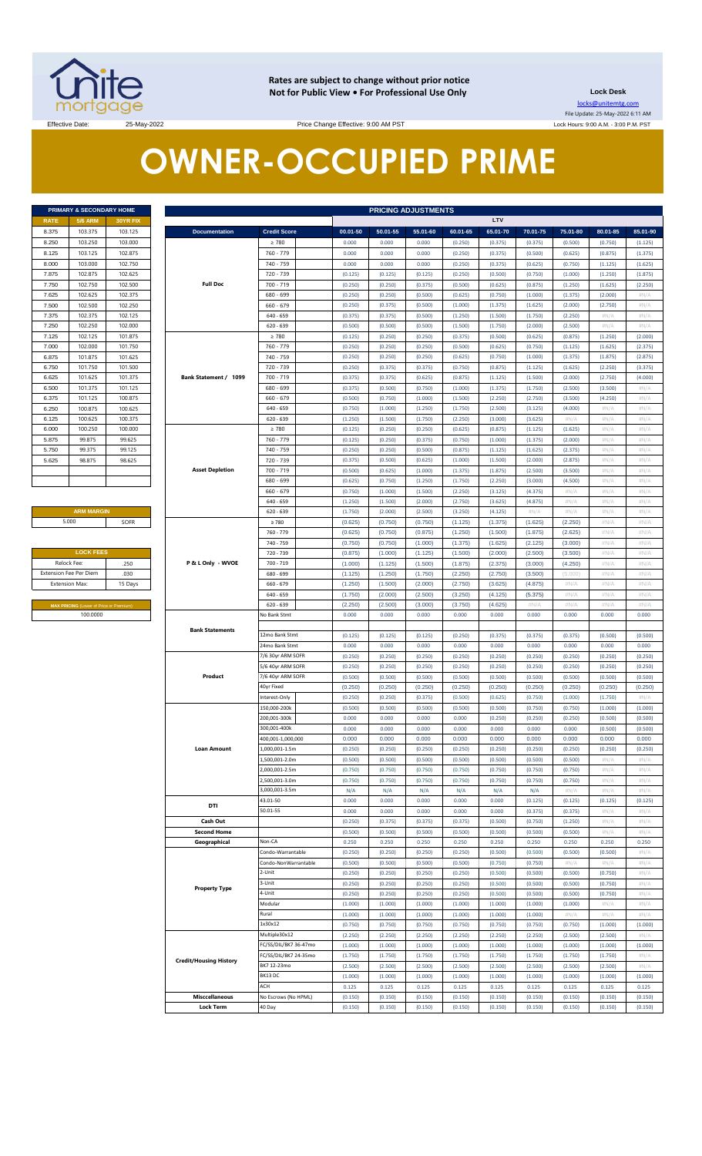

**Rates are subject to change without prior notice Not for Public View • For Professional Use Only Lock Desk**

locks@unitemtg.com File Update: 25-May-2022 6:11 AM Lock Hours: 9:00 A.M. - 3:00 P.M. PST

Effective Date: 25-May-2022 25-May-2022 Price Change Effective: 9:00 AM PST

# **OWNER-OCCUPIED PRIME**

| PRIMARY & SECONDARY HOME |                |          |  |  |  |  |  |  |
|--------------------------|----------------|----------|--|--|--|--|--|--|
| <b>RATE</b>              | <b>5/6 ARM</b> | 30YR FIX |  |  |  |  |  |  |
| 8.375                    | 103.375        | 103.125  |  |  |  |  |  |  |
| 8.250                    | 103.250        | 103,000  |  |  |  |  |  |  |
| 8.125                    | 103.125        | 102.875  |  |  |  |  |  |  |
| 8.000                    | 103.000        | 102.750  |  |  |  |  |  |  |
| 7.875                    | 102.875        | 102.625  |  |  |  |  |  |  |
| 7.750                    | 102.750        | 102.500  |  |  |  |  |  |  |
| 7.625                    | 102.625        | 102 375  |  |  |  |  |  |  |
| 7.500                    | 102.500        | 102.250  |  |  |  |  |  |  |
| 7.375                    | 102.375        | 102.125  |  |  |  |  |  |  |
| 7.250                    | 102.250        | 102.000  |  |  |  |  |  |  |
| 7.125                    | 102.125        | 101.875  |  |  |  |  |  |  |
| 7.000                    | 102.000        | 101.750  |  |  |  |  |  |  |
| 6.875                    | 101.875        | 101.625  |  |  |  |  |  |  |
| 6.750                    | 101.750        | 101.500  |  |  |  |  |  |  |
| 6.625                    | 101.625        | 101.375  |  |  |  |  |  |  |
| 6,500                    | 101.375        | 101.125  |  |  |  |  |  |  |
| 6.375                    | 101.125        | 100.875  |  |  |  |  |  |  |
| 6.250                    | 100.875        | 100.625  |  |  |  |  |  |  |
| 6.125                    | 100.625        | 100.375  |  |  |  |  |  |  |
| 6.000                    | 100.250        | 100.000  |  |  |  |  |  |  |
| 5.875                    | 99.875         | 99.625   |  |  |  |  |  |  |
| 5.750                    | 99.375         | 99.125   |  |  |  |  |  |  |
| 5.625                    | 98.875         | 98.625   |  |  |  |  |  |  |
|                          |                |          |  |  |  |  |  |  |
|                          |                |          |  |  |  |  |  |  |
|                          |                |          |  |  |  |  |  |  |

### **ARM MARGIN** 5.000

| <b>LOCK FEES</b>                               |         |  |  |  |  |  |  |
|------------------------------------------------|---------|--|--|--|--|--|--|
| Relock Fee:                                    | .250    |  |  |  |  |  |  |
| <b>Extension Fee Per Diem</b>                  | .030    |  |  |  |  |  |  |
| <b>Extension Max:</b>                          | 15 Days |  |  |  |  |  |  |
|                                                |         |  |  |  |  |  |  |
| <b>MAX PRICING (Lower of Price or Premium)</b> |         |  |  |  |  |  |  |
| 100,0000                                       |         |  |  |  |  |  |  |

|             | PRIMARY & SECONDARY HOME                |          |                               |                       |          |          | <b>PRICING ADJUSTMENTS</b> |          |          |          |          |          |             |
|-------------|-----------------------------------------|----------|-------------------------------|-----------------------|----------|----------|----------------------------|----------|----------|----------|----------|----------|-------------|
| RATE        | <b>5/6 ARM</b>                          | 30YR FIX |                               |                       |          |          |                            |          | LTV      |          |          |          |             |
| 8.375       | 103.375                                 | 103.125  | <b>Documentation</b>          | <b>Credit Score</b>   | 00.01-50 | 50.01-55 | 55.01-60                   | 60.01-65 | 65.01-70 | 70.01-75 | 75.01-80 | 80.01-85 | 85.01-90    |
| 8.250       | 103.250                                 | 103.000  |                               | $\geq 780$            | 0.000    | 0.000    | 0.000                      | (0.250)  | (0.375)  | (0.375)  | (0.500)  | (0.750)  | (1.125)     |
| 8.125       | 103.125                                 | 102.875  |                               | 760 - 779             | 0.000    | 0.000    | 0.000                      | (0.250)  | (0.375)  | (0.500)  | (0.625)  | (0.875)  | (1.375)     |
| 8.000       | 103.000                                 | 102.750  |                               | 740 - 759             | 0.000    | 0.000    | 0.000                      | (0.250)  | (0.375)  | (0.625)  | (0.750)  | (1.125)  | (1.625)     |
|             |                                         |          |                               |                       |          |          |                            |          |          |          |          |          |             |
| 7.875       | 102.875                                 | 102.625  |                               | 720 - 739             | (0.125)  | (0.125)  | (0.125)                    | (0.250)  | (0.500)  | (0.750)  | (1.000)  | (1.250)  | (1.875)     |
| 7.750       | 102.750                                 | 102.500  | <b>Full Doc</b>               | 700 - 719             | (0.250)  | (0.250)  | (0.375)                    | (0.500)  | (0.625)  | (0.875)  | (1.250)  | (1.625)  | (2.250)     |
| 7.625       | 102.625                                 | 102.375  |                               | 680 - 699             | (0.250)  | (0.250)  | (0.500)                    | (0.625)  | (0.750)  | (1.000)  | (1.375)  | (2.000)  | #N/A        |
| 7.500       | 102.500                                 | 102.250  |                               | $660 - 679$           | (0.250)  | (0.375)  | (0.500)                    | (1.000)  | (1.375)  | (1.625)  | (2.000)  | (2.750)  | #N/A        |
| 7.375       | 102.375                                 | 102.125  |                               | $640 - 659$           | (0.375)  | (0.375)  | (0.500)                    | (1.250)  | (1.500)  | (1.750)  | (2.250)  | $\#N/A$  | #N/A        |
|             |                                         |          |                               |                       |          |          |                            |          |          |          |          |          |             |
| 7.250       | 102.250                                 | 102.000  |                               | $620 - 639$           | (0.500)  | (0.500)  | (0.500)                    | (1.500)  | (1.750)  | (2.000)  | (2.500)  | H N/A    | #N/A        |
| 7.125       | 102.125                                 | 101.875  |                               | $\geq 780$            | (0.125)  | (0.250)  | (0.250)                    | (0.375)  | (0.500)  | (0.625)  | (0.875)  | (1.250)  | (2.000)     |
| 7.000       | 102.000                                 | 101.750  |                               | 760 - 779             | (0.250)  | (0.250)  | (0.250)                    | (0.500)  | (0.625)  | (0.750)  | (1.125)  | (1.625)  | (2.375)     |
| 6.875       | 101.875                                 | 101.625  |                               | 740 - 759             | (0.250)  | (0.250)  | (0.250)                    | (0.625)  | (0.750)  | (1.000)  | (1.375)  | (1.875)  | (2.875)     |
| 6.750       | 101.750                                 | 101.500  |                               | 720 - 739             | (0.250)  | (0.375)  | (0.375)                    | (0.750)  | (0.875)  | (1.125)  | (1.625)  | (2.250)  | (3.375)     |
| 6.625       | 101.625                                 | 101.375  | Bank Statement / 1099         | 700 - 719             | (0.375)  | (0.375)  | (0.625)                    | (0.875)  | (1.125)  | (1.500)  | (2.000)  | (2.750)  | (4.000)     |
|             |                                         |          |                               |                       |          |          |                            |          |          |          |          |          |             |
| 6.500       | 101.375                                 | 101.125  |                               | 680 - 699             | (0.375)  | (0.500)  | (0.750)                    | (1.000)  | (1.375)  | (1.750)  | (2.500)  | (3.500)  | $\#N/\beta$ |
| 6.375       | 101.125                                 | 100.875  |                               | $660 - 679$           | (0.500)  | (0.750)  | (1.000)                    | (1.500)  | (2.250)  | (2.750)  | (3.500)  | (4.250)  | #N/A        |
| 6.250       | 100.875                                 | 100.625  |                               | $640 - 659$           | (0.750)  | (1.000)  | (1.250)                    | (1.750)  | (2.500)  | (3.125)  | (4.000)  | H N/A    | #N/A        |
| 6.125       | 100.625                                 | 100.375  |                               | $620 - 639$           | (1.250)  | (1.500)  | (1.750)                    | (2.250)  | (3.000)  | (3.625)  | H N/A    | H N/A    | #N/A        |
|             | 100.250                                 | 100.000  |                               | $\geq 780$            | (0.125)  | (0.250)  | (0.250)                    | (0.625)  | (0.875)  | (1.125)  | (1.625)  | H N/A    | #N/A        |
| 6.000       |                                         |          |                               |                       |          |          |                            |          |          |          |          |          |             |
| 5.875       | 99.875                                  | 99.625   |                               | 760 - 779             | (0.125)  | (0.250)  | (0.375)                    | (0.750)  | (1.000)  | (1.375)  | (2.000)  | $\#N/A$  | #N/A        |
| 5.750       | 99.375                                  | 99.125   |                               | 740 - 759             | (0.250)  | (0.250)  | (0.500)                    | (0.875)  | (1.125)  | (1.625)  | (2.375)  | H N/A    | #N/A        |
| 5.625       | 98.875                                  | 98.625   |                               | 720 - 739             | (0.375)  | (0.500)  | (0.625)                    | (1.000)  | (1.500)  | (2.000)  | (2.875)  | $\#N/A$  | #N/A        |
|             |                                         |          | <b>Asset Depletion</b>        | 700 - 719             | (0.500)  | (0.625)  | (1.000)                    | (1.375)  | (1.875)  | (2.500)  | (3.500)  | H N/A    | #N/A        |
|             |                                         |          |                               | 680 - 699             | (0.625)  | (0.750)  | (1.250)                    | (1.750)  | (2.250)  | (3.000)  | (4.500)  | $\#N/A$  | #N/A        |
|             |                                         |          |                               | $660 - 679$           | (0.750)  | (1.000)  | (1.500)                    | (2.250)  | (3.125)  | (4.375)  | $\#N/A$  | H N/A    | #N/A        |
|             |                                         |          |                               |                       |          |          |                            |          |          |          |          |          |             |
|             |                                         |          |                               | $640 - 659$           | (1.250)  | (1.500)  | (2.000)                    | (2.750)  | (3.625)  | (4.875)  | $\#N/A$  | H N/A    | #N/A        |
|             | <b>ARM MARGIN</b>                       |          |                               | $620 - 639$           | (1.750)  | (2.000)  | (2.500)                    | (3.250)  | (4.125)  | $\#N/A$  | $\#N/A$  | H N/A    | #N/A        |
| 5.000       |                                         | SOFR     |                               | $\geq 780$            | (0.625)  | (0.750)  | (0.750)                    | (1.125)  | (1.375)  | (1.625)  | (2.250)  | #N/A     | #N/A        |
|             |                                         |          |                               | 760 - 779             | (0.625)  | (0.750)  | (0.875)                    | (1.250)  | (1.500)  | (1.875)  | (2.625)  | #N/A     | #N/A        |
|             |                                         |          |                               | 740 - 759             | (0.750)  | (0.750)  | (1.000)                    | (1.375)  | (1.625)  | (2.125)  | (3.000)  | #N/A     | #N/A        |
|             | <b>LOCK FEES</b>                        |          |                               | 720 - 739             | (0.875)  | (1.000)  | (1.125)                    | (1.500)  | (2.000)  | (2.500)  | (3.500)  | #N/A     | #N/A        |
|             |                                         |          |                               |                       |          |          |                            |          |          |          |          |          |             |
| Relock Fee: |                                         | .250     | P & L Only - WVOE             | 700 - 719             | (1.000)  | (1.125)  | (1.500)                    | (1.875)  | (2.375)  | (3.000)  | (4.250)  | #N/A     | #N/A        |
|             | xtension Fee Per Diem                   | .030     |                               | 680 - 699             | (1.125)  | (1.250)  | (1.750)                    | (2.250)  | (2.750)  | (3.500)  | (5.000)  | #N/A     | #N/A        |
|             | <b>Extension Max:</b>                   | 15 Days  |                               | $660 - 679$           | (1.250)  | (1.500)  | (2.000)                    | (2.750)  | (3.625)  | (4.875)  | #N/A     | #N/A     | #N/A        |
|             |                                         |          |                               | $640 - 659$           | (1.750)  | (2.000)  | (2.500)                    | (3.250)  | (4.125)  | (5.375)  | $\#N/A$  | #N/A     | #N/A        |
|             |                                         |          |                               | $620 - 639$           | (2.250)  | (2.500)  | (3.000)                    | (3.750)  | (4.625)  | #N/A     | #N/A     | #N/A     | #N/A        |
|             | MAX PRICING (Lower of Price or Premium) |          |                               |                       |          |          |                            |          |          |          |          |          |             |
|             | 100.0000                                |          |                               | No Bank Stmt          | 0.000    | 0.000    | 0.000                      | 0.000    | 0.000    | 0.000    | 0.000    | 0.000    | 0.000       |
|             |                                         |          | <b>Bank Statements</b>        |                       |          |          |                            |          |          |          |          |          |             |
|             |                                         |          |                               | 12mo Bank Stmt        | (0.125)  | (0.125)  | (0.125)                    | (0.250)  | (0.375)  | (0.375)  | (0.375)  | (0.500)  | (0.500)     |
|             |                                         |          |                               | 24mo Bank Stmt        | 0.000    | 0.000    | 0.000                      | 0.000    | 0.000    | 0.000    | 0.000    | 0.000    | 0.000       |
|             |                                         |          |                               | 7/6 30yr ARM SOFR     | (0.250)  | (0.250)  | (0.250)                    | (0.250)  | (0.250)  | (0.250)  | (0.250)  | (0.250)  | (0.250)     |
|             |                                         |          | Product                       | 5/6 40yr ARM SOFR     | (0.250)  | (0.250)  | (0.250)                    | (0.250)  | (0.250)  | (0.250)  | (0.250)  | (0.250)  | (0.250)     |
|             |                                         |          |                               | 7/6 40yr ARM SOFR     |          |          |                            |          |          |          |          |          |             |
|             |                                         |          |                               |                       | (0.500)  | (0.500)  | (0.500)                    | (0.500)  | (0.500)  | (0.500)  | (0.500)  | (0.500)  | (0.500)     |
|             |                                         |          |                               | 40yr Fixed            | (0.250)  | (0.250)  | (0.250)                    | (0.250)  | (0.250)  | (0.250)  | (0.250)  | (0.250)  | (0.250)     |
|             |                                         |          |                               | Interest-Only         | (0.250)  | (0.250)  | (0.375)                    | (0.500)  | (0.625)  | (0.750)  | (1.000)  | (1.750)  | $\#N/\beta$ |
|             |                                         |          |                               | 150.000-200k          | (0.500)  | (0.500)  | (0.500)                    | (0.500)  | (0.500)  | (0.750)  | (0.750)  | (1.000)  | (1.000)     |
|             |                                         |          |                               | 200,001-300k          | 0.000    | 0.000    | 0.000                      | 0.000    | (0.250)  | (0.250)  | (0.250)  | (0.500)  | (0.500)     |
|             |                                         |          |                               | 300,001-400k          | 0.000    | 0.000    | 0.000                      | 0.000    | 0.000    | 0.000    | 0.000    | (0.500)  | (0.500)     |
|             |                                         |          |                               |                       |          |          |                            |          |          |          |          |          |             |
|             |                                         |          |                               | 400,001-1,000,000     | 0.000    | 0.000    | 0.000                      | 0.000    | 0.000    | 0.000    | 0.000    | 0.000    | 0.000       |
|             |                                         |          | <b>Loan Amount</b>            | 1,000,001-1.5m        | (0.250)  | (0.250)  | (0.250)                    | (0.250)  | (0.250)  | (0.250)  | (0.250)  | (0.250)  | (0.250)     |
|             |                                         |          |                               | 1,500,001-2.0m        | (0.500)  | (0.500)  | (0.500)                    | (0.500)  | (0.500)  | (0.500)  | (0.500)  | H N/A    | #N/A        |
|             |                                         |          |                               | 2,000,001-2.5m        | (0.750)  | (0.750)  | (0.750)                    | (0.750)  | (0.750)  | (0.750)  | (0.750)  | H N/A    | #N/A        |
|             |                                         |          |                               | 2,500,001-3.0m        | (0.750)  | (0.750)  | (0.750)                    | (0.750)  | (0.750)  | (0.750)  | (0.750)  | H N/A    | #N/A        |
|             |                                         |          |                               | 3,000,001-3.5m        | N/A      | N/A      | N/A                        | N/A      | N/A      | N/A      | $\#N/A$  | H N/A    | #N/A        |
|             |                                         |          |                               |                       |          |          |                            |          |          |          |          |          |             |
|             |                                         |          | DTI                           | 43.01-50              | 0.000    | 0.000    | 0.000                      | 0.000    | 0.000    | (0.125)  | (0.125)  | (0.125)  | (0.125)     |
|             |                                         |          |                               | 50.01-55              | 0.000    | 0.000    | 0.000                      | 0.000    | 0.000    | (0.375)  | (0.375)  | H N/A    | #N/A        |
|             |                                         |          | Cash Out                      |                       | (0.250)  | (0.375)  | (0.375)                    | (0.375)  | (0.500)  | (0.750)  | (1.250)  | H N/A    | #N/A        |
|             |                                         |          | <b>Second Home</b>            |                       | (0.500)  | (0.500)  | (0.500)                    | (0.500)  | (0.500)  | (0.500)  | (0.500)  | H N/A    | #N/A        |
|             |                                         |          | Geographical                  | Non-CA                | 0.250    | 0.250    | 0.250                      | 0.250    | 0.250    | 0.250    | 0.250    | 0.250    | 0.250       |
|             |                                         |          |                               | Condo-Warrantable     | (0.250)  | (0.250)  | (0.250)                    | (0.250)  | (0.500)  | (0.500)  | (0.500)  | (0.500)  | #N/A        |
|             |                                         |          |                               | Condo-NonWarrantable  |          |          |                            |          |          |          | $\#N/A$  | H N/A    | #N/A        |
|             |                                         |          |                               |                       | (0.500)  | (0.500)  | (0.500)                    | (0.500)  | (0.750)  | (0.750)  |          |          |             |
|             |                                         |          |                               | 2-Unit                | (0.250)  | (0.250)  | (0.250)                    | (0.250)  | (0.500)  | (0.500)  | (0.500)  | (0.750)  | #N/A        |
|             |                                         |          | <b>Property Type</b>          | 3-Unit                | (0.250)  | (0.250)  | (0.250)                    | (0.250)  | (0.500)  | (0.500)  | (0.500)  | (0.750)  | #N/A        |
|             |                                         |          |                               | 4-Unit                | (0.250)  | (0.250)  | (0.250)                    | (0.250)  | (0.500)  | (0.500)  | (0.500)  | (0.750)  | #N/A        |
|             |                                         |          |                               | Modular               | (1.000)  | (1.000)  | (1.000)                    | (1.000)  | (1.000)  | (1.000)  | (1.000)  | H N/A    | #N/A        |
|             |                                         |          |                               | Rural                 | (1.000)  | (1.000)  | (1.000)                    | (1.000)  | (1.000)  | (1.000)  | $\#N/A$  | H N/A    | #N/A        |
|             |                                         |          |                               |                       |          |          |                            |          |          |          |          |          |             |
|             |                                         |          |                               | 1x30x12               | (0.750)  | (0.750)  | (0.750)                    | (0.750)  | (0.750)  | (0.750)  | (0.750)  | (1.000)  | (1.000)     |
|             |                                         |          |                               | Multiple30x12         | (2.250)  | (2.250)  | (2.250)                    | (2.250)  | (2.250)  | (2.250)  | (2.500)  | (2.500)  | #N/A        |
|             |                                         |          |                               | FC/SS/DIL/BK7 36-47mo | (1.000)  | (1.000)  | (1.000)                    | (1.000)  | (1.000)  | (1.000)  | (1.000)  | (1.000)  | (1.000)     |
|             |                                         |          |                               | FC/SS/DIL/BK7 24-35mo | (1.750)  | (1.750)  | (1.750)                    | (1.750)  | (1.750)  | (1.750)  | (1.750)  | (1.750)  | #N/A        |
|             |                                         |          | <b>Credit/Housing History</b> | BK7 12-23mo           | (2.500)  | (2.500)  | (2.500)                    | (2.500)  | (2.500)  | (2.500)  | (2.500)  | (2.500)  | #N/A        |
|             |                                         |          |                               | BK13 DC               |          | (1.000)  |                            |          | (1.000)  |          | (1.000)  |          | (1.000)     |
|             |                                         |          |                               |                       | (1.000)  |          | (1.000)                    | (1.000)  |          | (1.000)  |          | (1.000)  |             |
|             |                                         |          |                               | ACH                   | 0.125    | 0.125    | 0.125                      | 0.125    | 0.125    | 0.125    | 0.125    | 0.125    | 0.125       |
|             |                                         |          | <b>Misccellaneous</b>         | No Escrows (No HPML)  | (0.150)  | (0.150)  | (0.150)                    | (0.150)  | (0.150)  | (0.150)  | (0.150)  | (0.150)  | (0.150)     |
|             |                                         |          | <b>Lock Term</b>              | 40 Day                | (0.150)  | (0.150)  | (0.150)                    | (0.150)  | (0.150)  | (0.150)  | (0.150)  | (0.150)  | (0.150)     |
|             |                                         |          |                               |                       |          |          |                            |          |          |          |          |          |             |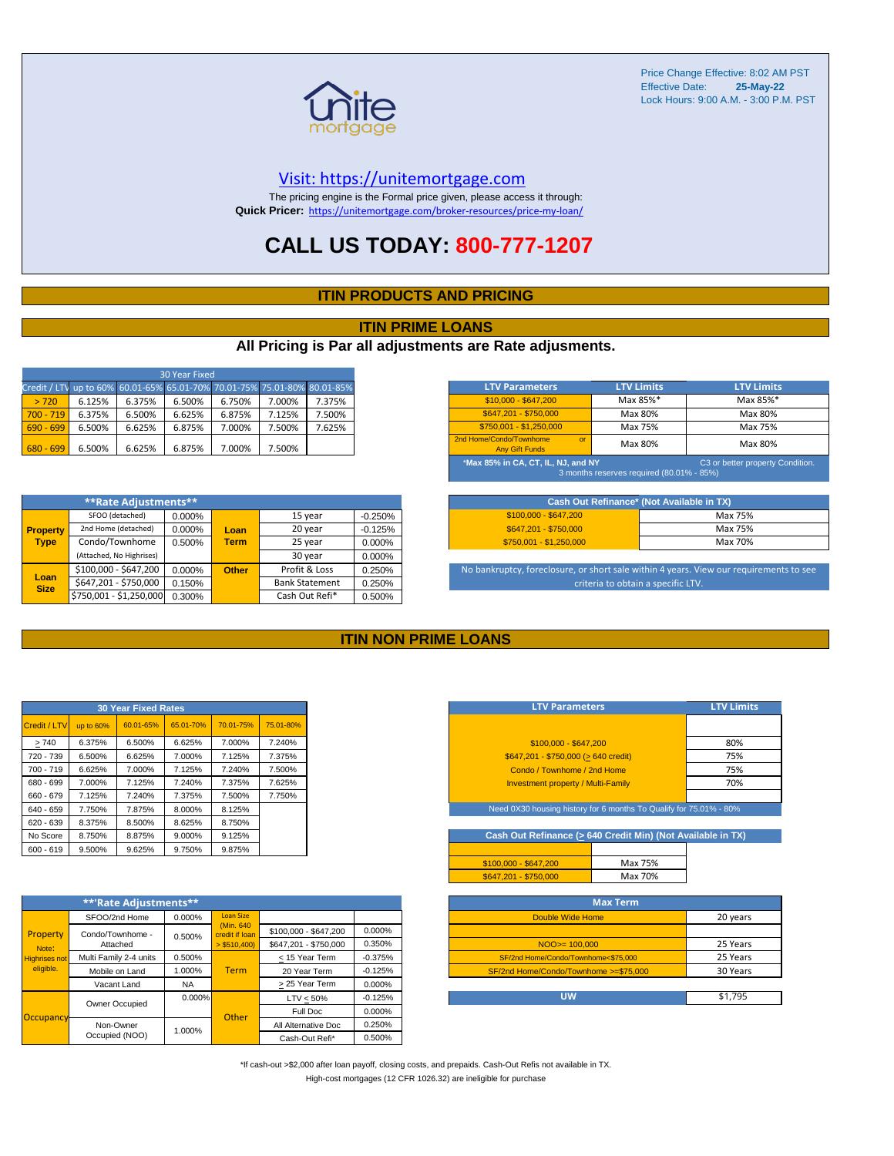

#### [V](https://unitemortgage.com/)isit: https://unitemortgage.com

The pricing engine is the Formal price given, please access it through: **Quick Pricer:** [https://un](https://unitemortgage.com/broker-resources/price-my-loan/)itemortgage.com/broker-resources/price-my-loan/

## **CALL US TODAY: 800-777-1207**

#### **ITIN PRODUCTS AND PRICING**

#### **ITIN PRIME LOANS**

#### **All Pricing is Par all adjustments are Rate adjusments.**

| 30 Year Fixed                                                            |        |        |        |        |        |        |  |  |  |  |
|--------------------------------------------------------------------------|--------|--------|--------|--------|--------|--------|--|--|--|--|
| Credit / LTV up to 60% 60.01-65% 65.01-70% 70.01-75% 75.01-80% 80.01-85% |        |        |        |        |        |        |  |  |  |  |
| > 720                                                                    | 6.125% | 6.375% | 6.500% | 6.750% | 7.000% | 7.375% |  |  |  |  |
| $700 - 719$                                                              | 6.375% | 6.500% | 6.625% | 6.875% | 7.125% | 7.500% |  |  |  |  |
| $690 - 699$                                                              | 6.500% | 6.625% | 6.875% | 7.000% | 7.500% | 7.625% |  |  |  |  |
| $680 - 699$                                                              | 6.500% | 6.625% | 6.875% | 7.000% | 7.500% |        |  |  |  |  |

| <b>LTV Parameters</b>                                        | <b>LTV Limits</b>                         | <b>LTV Limits</b>                |
|--------------------------------------------------------------|-------------------------------------------|----------------------------------|
| \$10,000 - \$647,200                                         | Max 85%*                                  | Max 85%*                         |
| \$647.201 - \$750.000                                        | Max 80%                                   | Max 80%                          |
| \$750.001 - \$1.250.000                                      | Max 75%                                   | Max 75%                          |
| 2nd Home/Condo/Townhome<br>$\Omega$<br><b>Any Gift Funds</b> | Max 80%                                   | Max 80%                          |
| *Max 85% in CA, CT, IL, NJ, and NY                           | 3 months reserves required (80.01% - 85%) | C3 or better property Condition. |

|                     | **Rate Adjustments**     |        |              |                       |           |
|---------------------|--------------------------|--------|--------------|-----------------------|-----------|
|                     | SFOO (detached)          | 0.000% |              | 15 year               | $-0.250%$ |
| <b>Property</b>     | 2nd Home (detached)      | 0.000% | Loan         | 20 year               | $-0.125%$ |
| <b>Type</b>         | Condo/Townhome           | 0.500% | <b>Term</b>  | 25 year               | 0.000%    |
|                     | (Attached, No Highrises) |        |              | 30 year               | 0.000%    |
|                     | \$100,000 - \$647,200    | 0.000% | <b>Other</b> | Profit & Loss         | 0.250%    |
| Loan<br><b>Size</b> | \$647,201 - \$750,000    | 0.150% |              | <b>Bank Statement</b> | 0.250%    |
|                     | \$750,001 - \$1,250,000  | 0.300% |              | Cash Out Refi*        | 0.500%    |

| Cash Out Refinance* (Not Available in TX) |         |  |  |  |  |  |  |  |
|-------------------------------------------|---------|--|--|--|--|--|--|--|
| $$100.000 - $647.200$                     | Max 75% |  |  |  |  |  |  |  |
| \$647.201 - \$750.000                     | Max 75% |  |  |  |  |  |  |  |
| $$750.001 - $1.250.000$                   | Max 70% |  |  |  |  |  |  |  |

No bankruptcy, foreclosure, or short sale within 4 years. View our requirements to see criteria to obtain a specific LTV.

#### **ITIN NON PRIME LOANS**

| <b>30 Year Fixed Rates</b> |           |           |           |           |           |  |  |  |  |  |
|----------------------------|-----------|-----------|-----------|-----------|-----------|--|--|--|--|--|
| Credit / LTV               | up to 60% | 60.01-65% | 65.01-70% | 70.01-75% | 75.01-80% |  |  |  |  |  |
| >740                       | 6.375%    | 6.500%    | 6.625%    | 7.000%    | 7.240%    |  |  |  |  |  |
| 720 - 739                  | 6.500%    | 6.625%    | 7.000%    | 7.125%    | 7.375%    |  |  |  |  |  |
| $700 - 719$                | 6.625%    | 7.000%    | 7.125%    | 7.240%    | 7.500%    |  |  |  |  |  |
| 680 - 699                  | 7.000%    | 7.125%    | 7.240%    | 7.375%    | 7.625%    |  |  |  |  |  |
| 660 - 679                  | 7.125%    | 7.240%    | 7.375%    | 7.500%    | 7.750%    |  |  |  |  |  |
| 640 - 659                  | 7.750%    | 7.875%    | 8.000%    | 8.125%    |           |  |  |  |  |  |
| $620 - 639$                | 8.375%    | 8.500%    | 8.625%    | 8.750%    |           |  |  |  |  |  |
| No Score                   | 8.750%    | 8.875%    | 9.000%    | 9.125%    |           |  |  |  |  |  |
| $600 - 619$                | 9.500%    | 9.625%    | 9.750%    | 9.875%    |           |  |  |  |  |  |

|                      | **'Rate Adjustments**  |           |                              |                       |           |
|----------------------|------------------------|-----------|------------------------------|-----------------------|-----------|
|                      | SFOO/2nd Home          | 0.000%    | <b>Loan Size</b>             |                       |           |
| Property             | Condo/Townhome -       | 0.500%    | (Min. 640)<br>credit if Ioan | \$100,000 - \$647,200 | 0.000%    |
| Note:                | Attached               |           | $>$ \$510,400)               | \$647.201 - \$750.000 | 0.350%    |
| <b>Highrises not</b> | Multi Family 2-4 units | 0.500%    |                              | < 15 Year Term        | $-0.375%$ |
| eligible.            | Mobile on Land         | 1.000%    | <b>Term</b>                  | 20 Year Term          | $-0.125%$ |
|                      | Vacant Land            | <b>NA</b> |                              | > 25 Year Term        | 0.000%    |
|                      | Owner Occupied         | $0.000\%$ |                              | $LTV < 50\%$          | $-0.125%$ |
| Occupancy            |                        |           | Other                        | Full Doc              | 0.000%    |
|                      | Non-Owner              | 1.000%    |                              | All Alternative Doc   | 0.250%    |
|                      | Occupied (NOO)         |           |                              | Cash-Out Refi*        | 0.500%    |

| <b>LTV Parameters</b>                        | <b>LTV Limits</b> |
|----------------------------------------------|-------------------|
|                                              |                   |
| $$100.000 - $647.200$                        | 80%               |
| $$647,201 - $750,000 (> 640 \text{ credit})$ | 75%               |
| Condo / Townhome / 2nd Home                  | 75%               |
| <b>Investment property / Multi-Family</b>    | 70%               |
|                                              |                   |

ed 0X30 housing history for 6 months To Qualify for 75.01% - 80%

Cash Out Refinance ( $\geq$  640 Credit Min) (Not Available in TX)

| $$100.000 - $647.200$ | Max 75% |
|-----------------------|---------|
| $$647,201 - $750,000$ | Max 70% |
|                       |         |
|                       |         |

| <b>Max Term</b>                       |          |
|---------------------------------------|----------|
| Double Wide Home                      | 20 years |
|                                       |          |
| $NOO > = 100,000$                     | 25 Years |
| SF/2nd Home/Condo/Townhome<\$75.000   | 25 Years |
| SF/2nd Home/Condo/Townhome >=\$75.000 | 30 Years |
|                                       |          |
| UW                                    | \$1,795  |

\*If cash-out >\$2,000 after loan payoff, closing costs, and prepaids. Cash-Out Refis not available in TX. High-cost mortgages (12 CFR 1026.32) are ineligible for purchase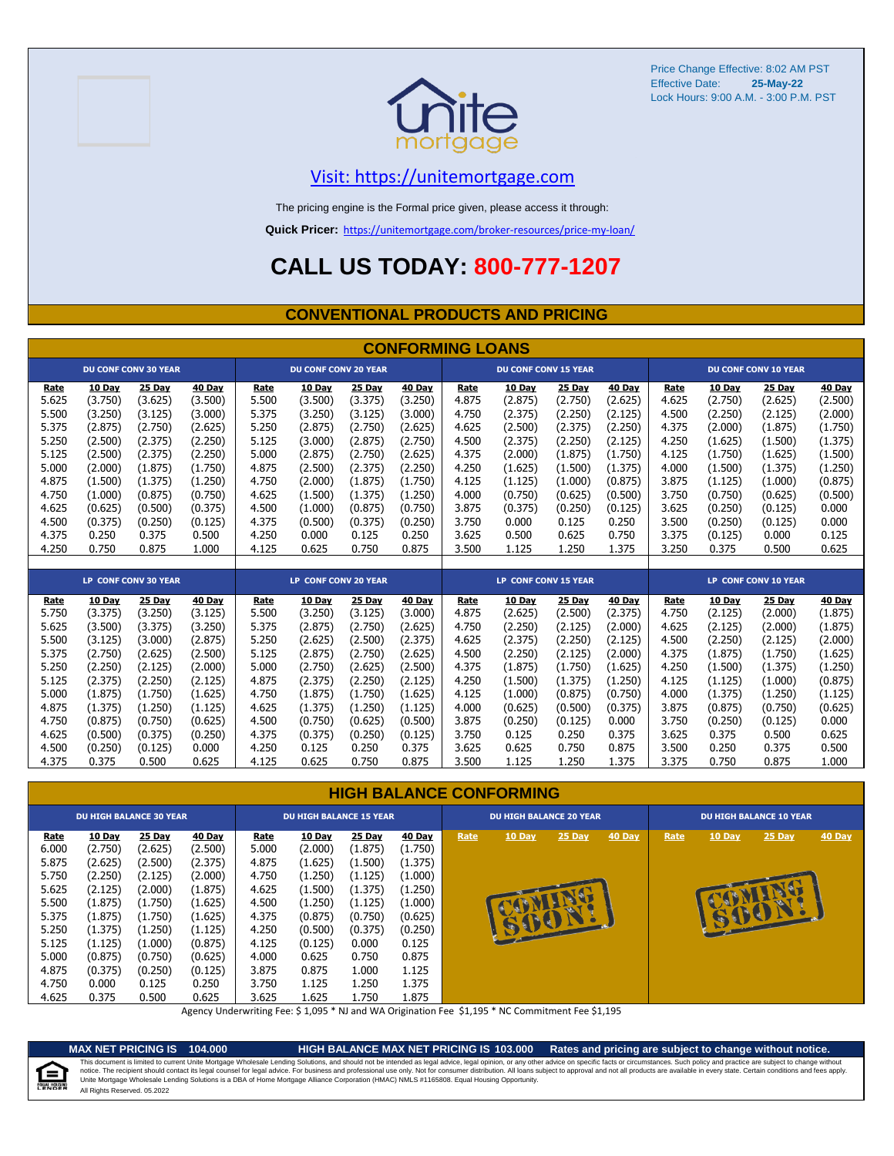



### [V](https://unitemortgage.com/)isit: https://unitemortgage.com

The pricing engine is the Formal price given, please access it through:

**Quick Pricer:** [https://un](https://unitemortgage.com/broker-resources/price-my-loan/)itemortgage.com/broker-resources/price-my-loan/

## **CALL US TODAY: 800-777-1207**

#### **CONVENTIONAL PRODUCTS AND PRICING**

|       | <b>CONFORMING LOANS</b> |                             |         |       |                             |         |         |       |                             |         |         |       |                             |                             |         |  |
|-------|-------------------------|-----------------------------|---------|-------|-----------------------------|---------|---------|-------|-----------------------------|---------|---------|-------|-----------------------------|-----------------------------|---------|--|
|       |                         | <b>DU CONF CONV 30 YEAR</b> |         |       | <b>DU CONF CONV 20 YEAR</b> |         |         |       | <b>DU CONF CONV 15 YEAR</b> |         |         |       |                             | <b>DU CONF CONV 10 YEAR</b> |         |  |
| Rate  | 10 Day                  | 25 Day                      | 40 Day  | Rate  | 10 Day                      | 25 Day  | 40 Day  | Rate  | 10 Day                      | 25 Day  | 40 Day  | Rate  | 10 Day                      | 25 Day                      | 40 Day  |  |
| 5.625 | (3.750)                 | (3.625)                     | (3.500) | 5.500 | (3.500)                     | (3.375) | (3.250) | 4.875 | (2.875)                     | (2.750) | (2.625) | 4.625 | (2.750)                     | (2.625)                     | (2.500) |  |
| 5.500 | (3.250)                 | (3.125)                     | (3.000) | 5.375 | (3.250)                     | (3.125) | (3.000) | 4.750 | (2.375)                     | (2.250) | (2.125) | 4.500 | (2.250)                     | (2.125)                     | (2.000) |  |
| 5.375 | (2.875)                 | (2.750)                     | (2.625) | 5.250 | (2.875)                     | (2.750) | (2.625) | 4.625 | (2.500)                     | (2.375) | (2.250) | 4.375 | (2.000)                     | (1.875)                     | (1.750) |  |
| 5.250 | (2.500)                 | (2.375)                     | (2.250) | 5.125 | (3.000)                     | (2.875) | (2.750) | 4.500 | (2.375)                     | (2.250) | (2.125) | 4.250 | (1.625)                     | (1.500)                     | (1.375) |  |
| 5.125 | (2.500)                 | (2.375)                     | (2.250) | 5.000 | (2.875)                     | (2.750) | (2.625) | 4.375 | (2.000)                     | (1.875) | (1.750) | 4.125 | (1.750)                     | (1.625)                     | (1.500) |  |
| 5.000 | (2.000)                 | (1.875)                     | (1.750) | 4.875 | (2.500)                     | (2.375) | (2.250) | 4.250 | (1.625)                     | (1.500) | (1.375) | 4.000 | (1.500)                     | (1.375)                     | (1.250) |  |
| 4.875 | (1.500)                 | (1.375)                     | (1.250) | 4.750 | (2.000)                     | (1.875) | (1.750) | 4.125 | (1.125)                     | (1.000) | (0.875) | 3.875 | (1.125)                     | (1.000)                     | (0.875) |  |
| 4.750 | (1.000)                 | (0.875)                     | (0.750) | 4.625 | (1.500)                     | (1.375) | (1.250) | 4.000 | (0.750)                     | (0.625) | (0.500) | 3.750 | (0.750)                     | (0.625)                     | (0.500) |  |
| 4.625 | (0.625)                 | (0.500)                     | (0.375) | 4.500 | (1.000)                     | (0.875) | (0.750) | 3.875 | (0.375)                     | (0.250) | (0.125) | 3.625 | (0.250)                     | (0.125)                     | 0.000   |  |
| 4.500 | (0.375)                 | (0.250)                     | (0.125) | 4.375 | (0.500)                     | (0.375) | (0.250) | 3.750 | 0.000                       | 0.125   | 0.250   | 3.500 | (0.250)                     | (0.125)                     | 0.000   |  |
| 4.375 | 0.250                   | 0.375                       | 0.500   | 4.250 | 0.000                       | 0.125   | 0.250   | 3.625 | 0.500                       | 0.625   | 0.750   | 3.375 | (0.125)                     | 0.000                       | 0.125   |  |
| 4.250 | 0.750                   | 0.875                       | 1.000   | 4.125 | 0.625                       | 0.750   | 0.875   | 3.500 | 1.125                       | 1.250   | 1.375   | 3.250 | 0.375                       | 0.500                       | 0.625   |  |
|       |                         |                             |         |       |                             |         |         |       |                             |         |         |       |                             |                             |         |  |
|       |                         | LP CONF CONV 30 YEAR        |         |       | <b>LP CONF CONV 20 YEAR</b> |         |         |       | <b>LP CONF CONV 15 YEAR</b> |         |         |       | <b>LP CONF CONV 10 YEAR</b> |                             |         |  |
| Rate  | 10 Dav                  | 25 Dav                      | 40 Dav  | Rate  | 10 Dav                      | 25 Dav  | 40 Dav  | Rate  | 10 Day                      | 25 Day  | 40 Day  | Rate  | 10 Dav                      | 25 Dav                      | 40 Dav  |  |
| 5.750 | (3.375)                 | (3.250)                     | (3.125) | 5.500 | (3.250)                     | (3.125) | (3.000) | 4.875 | (2.625)                     | (2.500) | (2.375) | 4.750 | (2.125)                     | (2.000)                     | (1.875) |  |
| 5.625 | (3.500)                 | (3.375)                     | (3.250) | 5.375 | (2.875)                     | (2.750) | (2.625) | 4.750 | (2.250)                     | (2.125) | (2.000) | 4.625 | (2.125)                     | (2.000)                     | (1.875) |  |
| 5.500 | (3.125)                 | (3.000)                     | (2.875) | 5.250 | (2.625)                     | (2.500) | (2.375) | 4.625 | (2.375)                     | (2.250) | (2.125) | 4.500 | (2.250)                     | (2.125)                     | (2.000) |  |
| 5.375 | (2.750)                 | (2.625)                     | (2.500) | 5.125 | (2.875)                     | (2.750) | (2.625) | 4.500 | (2.250)                     | (2.125) | (2.000) | 4.375 | (1.875)                     | (1.750)                     | (1.625) |  |
| 5.250 | (2.250)                 | (2.125)                     | (2.000) | 5.000 | (2.750)                     | (2.625) | (2.500) | 4.375 | (1.875)                     | (1.750) | (1.625) | 4.250 | (1.500)                     | (1.375)                     | (1.250) |  |
| 5.125 | (2.375)                 | (2.250)                     | (2.125) | 4.875 | (2.375)                     | (2.250) | (2.125) | 4.250 | (1.500)                     | (1.375) | (1.250) | 4.125 | (1.125)                     | (1.000)                     | (0.875) |  |
| 5.000 | (1.875)                 | (1.750)                     | (1.625) | 4.750 | (1.875)                     | (1.750) | (1.625) | 4.125 | (1.000)                     | (0.875) | (0.750) | 4.000 | (1.375)                     | (1.250)                     | (1.125) |  |
| 4.875 | (1.375)                 | (1.250)                     | (1.125) | 4.625 | (1.375)                     | (1.250) | (1.125) | 4.000 | (0.625)                     | (0.500) | (0.375) | 3.875 | (0.875)                     | (0.750)                     | (0.625) |  |
| 4.750 | (0.875)                 | (0.750)                     | (0.625) | 4.500 | (0.750)                     | (0.625) | (0.500) | 3.875 | (0.250)                     | (0.125) | 0.000   | 3.750 | (0.250)                     | (0.125)                     | 0.000   |  |
| 4.625 | (0.500)                 | (0.375)                     | (0.250) | 4.375 | (0.375)                     | (0.250) | (0.125) | 3.750 | 0.125                       | 0.250   | 0.375   | 3.625 | 0.375                       | 0.500                       | 0.625   |  |
| 4.500 | (0.250)                 | (0.125)                     | 0.000   | 4.250 | 0.125                       | 0.250   | 0.375   | 3.625 | 0.625                       | 0.750   | 0.875   | 3.500 | 0.250                       | 0.375                       | 0.500   |  |
| 4.375 | 0.375                   | 0.500                       | 0.625   | 4.125 | 0.625                       | 0.750   | 0.875   | 3.500 | 1.125                       | 1.250   | 1.375   | 3.375 | 0.750                       | 0.875                       | 1.000   |  |

#### **HIGH BALANCE CONFORMING**

|               | <b>DU HIGH BALANCE 30 YEAR</b> |                    |                    |               | <b>DU HIGH BALANCE 15 YEAR</b> |                   |                   |      | <b>DU HIGH BALANCE 20 YEAR</b> |               |               |      | <b>DU HIGH BALANCE 10 YEAR</b> |          |               |  |  |  |
|---------------|--------------------------------|--------------------|--------------------|---------------|--------------------------------|-------------------|-------------------|------|--------------------------------|---------------|---------------|------|--------------------------------|----------|---------------|--|--|--|
| Rate<br>6.000 | 10 Day<br>(2.750)              | 25 Day             | <b>40 Day</b>      | Rate<br>5.000 | 10 Day                         | 25 Day<br>(1.875) | 40 Day<br>(1.750) | Rate | <b>10 Day</b>                  | <b>25 Day</b> | <b>40 Day</b> | Rate | <b>10 Day</b>                  | $25$ Day | <b>40 Day</b> |  |  |  |
| 5.875         | (2.625)                        | (2.625)<br>(2.500) | (2.500)<br>(2.375) | 4.875         | (2.000)<br>(1.625)             | (1.500)           | (1.375)           |      |                                |               |               |      |                                |          |               |  |  |  |
| 5.750         | (2.250)                        | (2.125)            | (2.000)            | 4.750         | (1.250)                        | (1.125)           | (1.000)           |      |                                |               |               |      |                                |          |               |  |  |  |
| 5.625         | (2.125)                        | (2.000)            | (1.875)            | 4.625         | (1.500)                        | (1.375)           | (1.250)           |      |                                |               |               |      |                                |          |               |  |  |  |
| 5.500         | (1.875)                        | (1.750)            | (1.625)            | 4.500         | (1.250)                        | (1.125)           | (1.000)           |      |                                |               |               |      |                                |          |               |  |  |  |
| 5.375         | (1.875)                        | (1.750)            | (1.625)            | 4.375         | (0.875)                        | (0.750)           | (0.625)           |      |                                | W             |               |      |                                |          |               |  |  |  |
| 5.250         | (1.375)                        | (1.250)            | (1.125)            | 4.250         | (0.500)                        | (0.375)           | (0.250)           |      |                                |               |               |      |                                |          |               |  |  |  |
| 5.125         | (1.125)                        | (1.000)            | (0.875)            | 4.125         | (0.125)                        | 0.000             | 0.125             |      |                                |               |               |      |                                |          |               |  |  |  |
| 5.000         | (0.875)                        | (0.750)            | (0.625)            | 4.000         | 0.625                          | 0.750             | 0.875             |      |                                |               |               |      |                                |          |               |  |  |  |
| 4.875         | (0.375)                        | (0.250)            | (0.125)            | 3.875         | 0.875                          | 1.000             | 1.125             |      |                                |               |               |      |                                |          |               |  |  |  |
| 4.750         | 0.000                          | 0.125              | 0.250              | 3.750         | 1.125                          | 1.250             | 1.375             |      |                                |               |               |      |                                |          |               |  |  |  |
| 4.625         | 0.375                          | 0.500              | 0.625              | 3.625         | L.625                          | 1.750             | 1.875             |      |                                |               |               |      |                                |          |               |  |  |  |

Agency Underwriting Fee: \$ 1,095 \* NJ and WA Origination Fee \$1,195 \* NC Commitment Fee \$1,195



All Rights Reserved. 05.2022

**MAX NET PRICING IS 104.000 HIGH BALANCE MAX NET PRICING IS 103.000 Rates and pricing are subject to change without notice.** This document is limited to current Unite Mortgage Wholesale Lending Solutions, and should not be intended as legal advice, legal opinion, or any other advice on specific facts or circumstances. Such policy and practice ar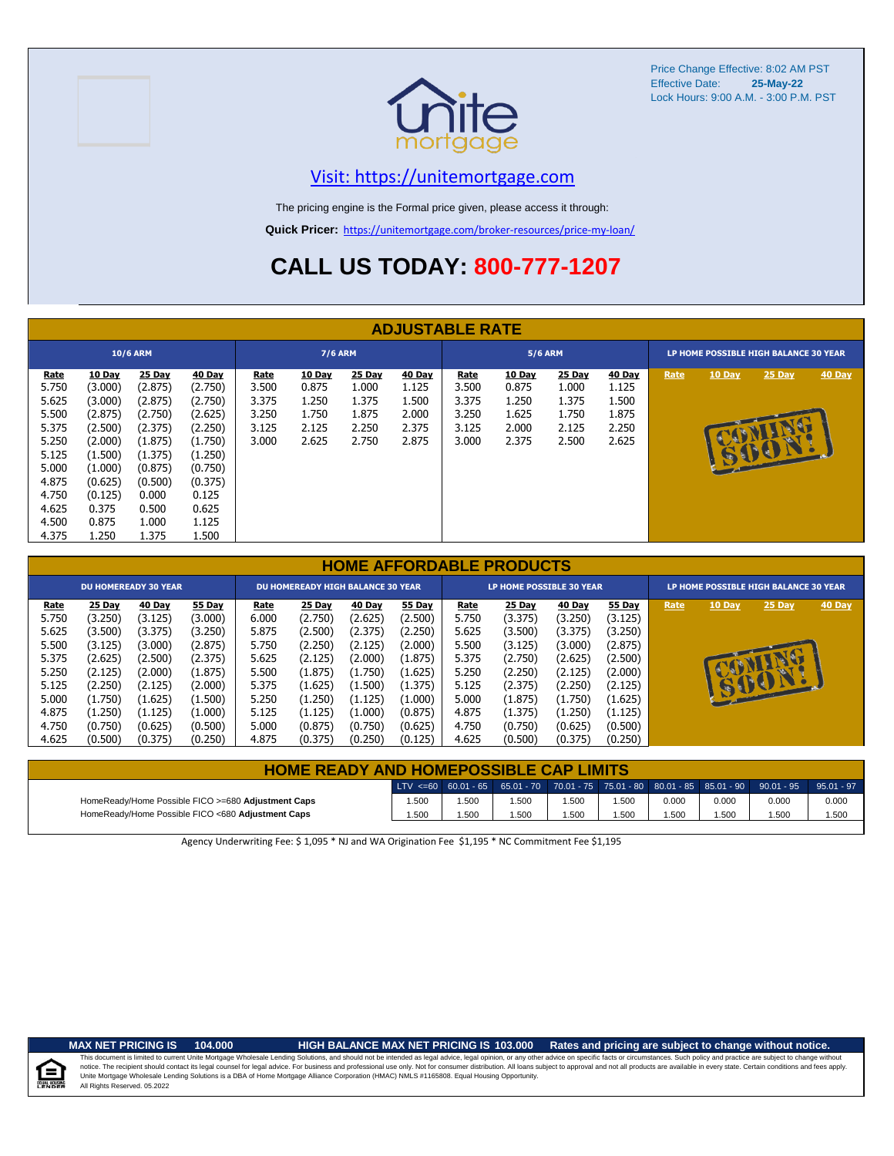



### [V](https://unitemortgage.com/)isit: https://unitemortgage.com

The pricing engine is the Formal price given, please access it through:

**Quick Pricer:** [https://un](https://unitemortgage.com/broker-resources/price-my-loan/)itemortgage.com/broker-resources/price-my-loan/

## **CALL US TODAY: 800-777-1207**

|                                                                                                                         |                                                                                                                                             |                                                                                                                                           |                                                                                                                                           |                                                   |                                                            |                                                            | <b>ADJUSTABLE RATE</b>                                     |                                                          |                                                            |                                                            |                                                            |      |               |                                       |               |
|-------------------------------------------------------------------------------------------------------------------------|---------------------------------------------------------------------------------------------------------------------------------------------|-------------------------------------------------------------------------------------------------------------------------------------------|-------------------------------------------------------------------------------------------------------------------------------------------|---------------------------------------------------|------------------------------------------------------------|------------------------------------------------------------|------------------------------------------------------------|----------------------------------------------------------|------------------------------------------------------------|------------------------------------------------------------|------------------------------------------------------------|------|---------------|---------------------------------------|---------------|
|                                                                                                                         |                                                                                                                                             | <b>10/6 ARM</b>                                                                                                                           |                                                                                                                                           |                                                   | <b>7/6 ARM</b>                                             |                                                            |                                                            |                                                          | <b>5/6 ARM</b>                                             |                                                            |                                                            |      |               | LP HOME POSSIBLE HIGH BALANCE 30 YEAR |               |
| <b>Rate</b><br>5.750<br>5.625<br>5.500<br>5.375<br>5.250<br>5.125<br>5.000<br>4.875<br>4.750<br>4.625<br>4.500<br>4.375 | <b>10 Day</b><br>(3.000)<br>(3.000)<br>(2.875)<br>(2.500)<br>(2.000)<br>(1.500)<br>(1.000)<br>(0.625)<br>(0.125)<br>0.375<br>0.875<br>1.250 | <b>25 Day</b><br>(2.875)<br>(2.875)<br>(2.750)<br>(2.375)<br>(1.875)<br>(1.375)<br>(0.875)<br>(0.500)<br>0.000<br>0.500<br>1.000<br>1.375 | <b>40 Day</b><br>(2.750)<br>(2.750)<br>(2.625)<br>(2.250)<br>(1.750)<br>(1.250)<br>(0.750)<br>(0.375)<br>0.125<br>0.625<br>1.125<br>1.500 | Rate<br>3.500<br>3.375<br>3.250<br>3.125<br>3.000 | <b>10 Day</b><br>0.875<br>1.250<br>1.750<br>2.125<br>2.625 | <b>25 Day</b><br>1.000<br>1.375<br>1.875<br>2.250<br>2.750 | <b>40 Day</b><br>1.125<br>1.500<br>2.000<br>2.375<br>2.875 | <u>Rate</u><br>3.500<br>3.375<br>3.250<br>3.125<br>3.000 | <b>10 Day</b><br>0.875<br>1.250<br>1.625<br>2.000<br>2.375 | <b>25 Day</b><br>1.000<br>1.375<br>1.750<br>2.125<br>2.500 | <b>40 Day</b><br>1.125<br>1.500<br>1.875<br>2.250<br>2.625 | Rate | <b>10 Day</b> | <b>25 Day</b><br>BILOT                | <b>40 Day</b> |

|       |         |                             |         |       |                                          |         |         |       | <b>HOME AFFORDABLE PRODUCTS</b> |         |               |      |                                       |        |               |  |
|-------|---------|-----------------------------|---------|-------|------------------------------------------|---------|---------|-------|---------------------------------|---------|---------------|------|---------------------------------------|--------|---------------|--|
|       |         | <b>DU HOMEREADY 30 YEAR</b> |         |       | <b>DU HOMEREADY HIGH BALANCE 30 YEAR</b> |         |         |       | <b>LP HOME POSSIBLE 30 YEAR</b> |         |               |      | LP HOME POSSIBLE HIGH BALANCE 30 YEAR |        |               |  |
| Rate  | 25 Day  | 40 Day                      | 55 Day  | Rate  | <b>25 Day</b>                            | 40 Day  | 55 Day  | Rate  | 25 Day                          | 40 Day  | <b>55 Day</b> | Rate | 10 Day                                | 25 Day | <b>40 Day</b> |  |
| 5.750 | (3.250) | (3.125)                     | (3.000) | 6.000 | (2.750)                                  | (2.625) | (2.500) | 5.750 | (3.375)                         | (3.250) | (3.125)       |      |                                       |        |               |  |
| 5.625 | (3.500) | (3.375)                     | (3.250) | 5.875 | (2.500)                                  | (2.375) | (2.250) | 5.625 | (3.500)                         | (3.375) | (3.250)       |      |                                       |        |               |  |
| 5.500 | (3.125) | (3.000)                     | (2.875) | 5.750 | (2.250)                                  | (2.125) | (2.000) | 5.500 | (3.125)                         | (3.000) | (2.875)       |      |                                       |        |               |  |
| 5.375 | (2.625) | (2.500)                     | (2.375) | 5.625 | (2.125)                                  | (2.000) | (1.875) | 5.375 | (2.750)                         | (2.625) | (2.500)       |      |                                       |        |               |  |
| 5.250 | (2.125) | (2.000)                     | (1.875) | 5.500 | (1.875)                                  | (1.750) | (1.625) | 5.250 | (2.250)                         | (2.125) | (2.000)       |      |                                       |        |               |  |
| 5.125 | (2.250) | (2.125)                     | (2.000) | 5.375 | (1.625)                                  | (1.500) | (1.375) | 5.125 | (2.375)                         | (2.250) | (2.125)       |      |                                       |        |               |  |
| 5.000 | (1.750) | (1.625)                     | (1.500) | 5.250 | (1.250)                                  | (1.125) | (1.000) | 5.000 | (1.875)                         | (1.750) | (1.625)       |      |                                       |        |               |  |
| 4.875 | (1.250) | (1.125)                     | (1.000) | 5.125 | (1.125)                                  | (1.000) | (0.875) | 4.875 | (1.375)                         | (1.250) | (1.125)       |      |                                       |        |               |  |
| 4.750 | (0.750) | (0.625)                     | (0.500) | 5.000 | (0.875)                                  | (0.750) | (0.625) | 4.750 | (0.750)                         | (0.625) | (0.500)       |      |                                       |        |               |  |
| 4.625 | (0.500) | (0.375)                     | (0.250) | 4.875 | (0.375)                                  | (0.250) | (0.125) | 4.625 | (0.500)                         | (0.375) | (0.250)       |      |                                       |        |               |  |

| <b>HOME READY AND HOMEPOSSIBLE CAP LIMITS</b>      |       |       |      |       |      |       |       |                                                                                       |              |
|----------------------------------------------------|-------|-------|------|-------|------|-------|-------|---------------------------------------------------------------------------------------|--------------|
|                                                    |       |       |      |       |      |       |       | LTV <=60 60.01 - 65 65.01 - 70 70.01 - 75 75.01 - 80 80.01 - 85 85.01 - 90 90.01 - 95 | $95.01 - 97$ |
| HomeReady/Home Possible FICO >=680 Adjustment Caps | 1.500 | 1.500 | .500 | 1.500 | .500 | 0.000 | 0.000 | 0.000                                                                                 | 0.000        |
| HomeReady/Home Possible FICO <680 Adjustment Caps  | 1.500 | .500  | .500 | 1.500 | .500 | .500  | .500  | .500                                                                                  | 1.500        |

Agency Underwriting Fee: \$ 1,095 \* NJ and WA Origination Fee \$1,195 \* NC Commitment Fee \$1,195



#### **MAX NET PRICING IS 104.000 HIGH BALANCE MAX NET PRICING IS 103.000 Rates and pricing are subject to change without notice.**

All Rights Reserved. 05.2022 This document is limited to current Unite Mortgage Wholesale Lending Solutions, and should not be intended as legal advice, legal opinion, or any other advice on specific facts or circumstances. Such policy and practice ar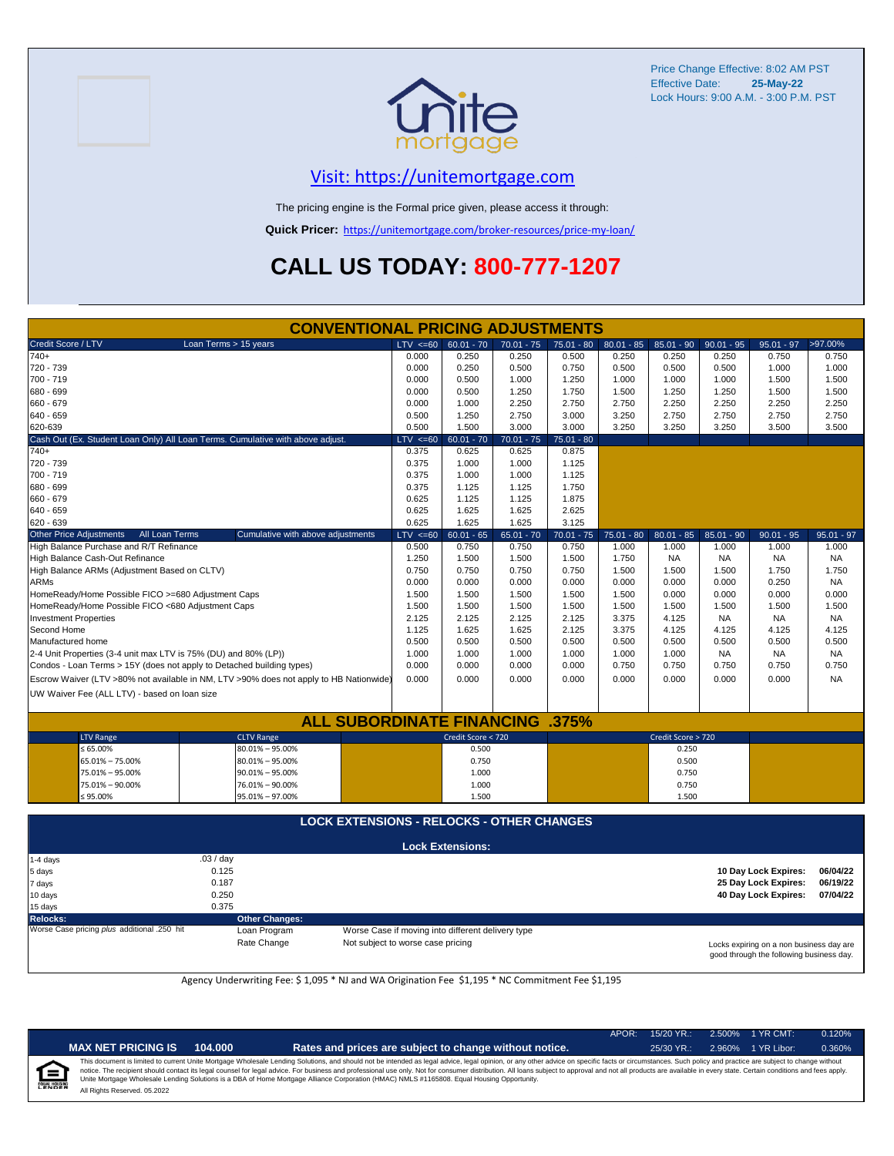

### [V](https://unitemortgage.com/)isit: https://unitemortgage.com

The pricing engine is the Formal price given, please access it through:

**Quick Pricer:** [https://un](https://unitemortgage.com/broker-resources/price-my-loan/)itemortgage.com/broker-resources/price-my-loan/

## **CALL US TODAY: 800-777-1207**

|                                |                                                    | <b>CONVENTIONAL PRICING ADJUSTMENTS</b>                                                |              |                         |              |              |              |                    |                      |                             |              |
|--------------------------------|----------------------------------------------------|----------------------------------------------------------------------------------------|--------------|-------------------------|--------------|--------------|--------------|--------------------|----------------------|-----------------------------|--------------|
| Credit Score / LTV             |                                                    | Loan Terms > 15 years                                                                  | $LTV \le 60$ | $60.01 - 70$            | $70.01 - 75$ | $75.01 - 80$ | $80.01 - 85$ | $85.01 - 90$       | $90.01 - 95$         | $95.01 - 97$                | >97.00%      |
| $740+$                         |                                                    |                                                                                        | 0.000        | 0.250                   | 0.250        | 0.500        | 0.250        | 0.250              | 0.250                | 0.750                       | 0.750        |
| 720 - 739                      |                                                    |                                                                                        | 0.000        | 0.250                   | 0.500        | 0.750        | 0.500        | 0.500              | 0.500                | 1.000                       | 1.000        |
| 700 - 719                      |                                                    |                                                                                        | 0.000        | 0.500                   | 1.000        | 1.250        | 1.000        | 1.000              | 1.000                | 1.500                       | 1.500        |
| 680 - 699                      |                                                    |                                                                                        | 0.000        | 0.500                   | 1.250        | 1.750        | 1.500        | 1.250              | 1.250                | 1.500                       | 1.500        |
| 660 - 679                      |                                                    |                                                                                        | 0.000        | 1.000                   | 2.250        | 2.750        | 2.750        | 2.250              | 2.250                | 2.250                       | 2.250        |
| 640 - 659                      |                                                    |                                                                                        | 0.500        | 1.250                   | 2.750        | 3.000        | 3.250        | 2.750              | 2.750                | 2.750                       | 2.750        |
| 620-639                        |                                                    |                                                                                        | 0.500        | 1.500                   | 3.000        | 3.000        | 3.250        | 3.250              | 3.250                | 3.500                       | 3.500        |
|                                |                                                    | Cash Out (Ex. Student Loan Only) All Loan Terms. Cumulative with above adjust.         | LTV < 60     | $60.01 - 70$            | $70.01 - 75$ | $75.01 - 80$ |              |                    |                      |                             |              |
| $740+$                         |                                                    |                                                                                        | 0.375        | 0.625                   | 0.625        | 0.875        |              |                    |                      |                             |              |
| 720 - 739                      |                                                    |                                                                                        | 0.375        | 1.000                   | 1.000        | 1.125        |              |                    |                      |                             |              |
| 700 - 719                      |                                                    |                                                                                        | 0.375        | 1.000                   | 1.000        | 1.125        |              |                    |                      |                             |              |
| 680 - 699                      |                                                    |                                                                                        | 0.375        | 1.125                   | 1.125        | 1.750        |              |                    |                      |                             |              |
| 660 - 679                      |                                                    |                                                                                        | 0.625        | 1.125                   | 1.125        | 1.875        |              |                    |                      |                             |              |
| 640 - 659                      |                                                    |                                                                                        | 0.625        | 1.625                   | 1.625        | 2.625        |              |                    |                      |                             |              |
| 620 - 639                      |                                                    |                                                                                        | 0.625        | 1.625                   | 1.625        | 3.125        |              |                    |                      |                             |              |
| <b>Other Price Adjustments</b> | All Loan Terms                                     | Cumulative with above adjustments                                                      | $LTV \le 60$ | $60.01 - 65$            | $65.01 - 70$ | $70.01 - 75$ | $75.01 - 80$ | $80.01 - 85$       | $85.01 - 90$         | $90.01 - 95$                | $95.01 - 97$ |
|                                | High Balance Purchase and R/T Refinance            |                                                                                        | 0.500        | 0.750                   | 0.750        | 0.750        | 1.000        | 1.000              | 1.000                | 1.000                       | 1.000        |
|                                | High Balance Cash-Out Refinance                    |                                                                                        | 1.250        | 1.500                   | 1.500        | 1.500        | 1.750        | <b>NA</b>          | <b>NA</b>            | NA                          | <b>NA</b>    |
|                                | High Balance ARMs (Adjustment Based on CLTV)       |                                                                                        | 0.750        | 0.750                   | 0.750        | 0.750        | 1.500        | 1.500              | 1.500                | 1.750                       | 1.750        |
| <b>ARMs</b>                    |                                                    |                                                                                        | 0.000        | 0.000                   | 0.000        | 0.000        | 0.000        | 0.000              | 0.000                | 0.250                       | <b>NA</b>    |
|                                | HomeReady/Home Possible FICO >=680 Adjustment Caps |                                                                                        | 1.500        | 1.500                   | 1.500        | 1.500        | 1.500        | 0.000              | 0.000                | 0.000                       | 0.000        |
|                                | HomeReady/Home Possible FICO <680 Adjustment Caps  |                                                                                        | 1.500        | 1.500                   | 1.500        | 1.500        | 1.500        | 1.500              | 1.500                | 1.500                       | 1.500        |
| <b>Investment Properties</b>   |                                                    |                                                                                        | 2.125        | 2.125                   | 2.125        | 2.125        | 3.375        | 4.125              | <b>NA</b>            | <b>NA</b>                   | <b>NA</b>    |
| Second Home                    |                                                    |                                                                                        | 1.125        | 1.625                   | 1.625        | 2.125        | 3.375        | 4.125              | 4.125                | 4.125                       | 4.125        |
| Manufactured home              |                                                    |                                                                                        | 0.500        | 0.500                   | 0.500        | 0.500        | 0.500        | 0.500              | 0.500                | 0.500                       | 0.500        |
|                                |                                                    | 2-4 Unit Properties (3-4 unit max LTV is 75% (DU) and 80% (LP))                        | 1.000        | 1.000                   | 1.000        | 1.000        | 1.000        | 1.000              | <b>NA</b>            | <b>NA</b>                   | NA           |
|                                |                                                    | Condos - Loan Terms > 15Y (does not apply to Detached building types)                  | 0.000        | 0.000                   | 0.000        | 0.000        | 0.750        | 0.750              | 0.750                | 0.750                       | 0.750        |
|                                |                                                    | Escrow Waiver (LTV >80% not available in NM, LTV >90% does not apply to HB Nationwide) | 0.000        | 0.000                   | 0.000        | 0.000        | 0.000        | 0.000              | 0.000                | 0.000                       | <b>NA</b>    |
|                                |                                                    |                                                                                        |              |                         |              |              |              |                    |                      |                             |              |
|                                | UW Waiver Fee (ALL LTV) - based on loan size       |                                                                                        |              |                         |              |              |              |                    |                      |                             |              |
|                                |                                                    | <b>ALL SUBORDINATE FINANCING .375%</b>                                                 |              |                         |              |              |              |                    |                      |                             |              |
|                                | <b>LTV Range</b>                                   | <b>CLTV Range</b>                                                                      |              | Credit Score < 720      |              |              |              | Credit Score > 720 |                      |                             |              |
|                                | $\leq 65.00\%$                                     | $80.01\% - 95.00\%$                                                                    |              | 0.500                   |              |              |              | 0.250              |                      |                             |              |
|                                | 65.01% - 75.00%                                    | $80.01\% - 95.00\%$                                                                    |              | 0.750                   |              |              |              | 0.500              |                      |                             |              |
|                                | 75.01% - 95.00%                                    | $90.01\% - 95.00\%$                                                                    |              | 1.000                   |              |              |              | 0.750              |                      |                             |              |
|                                | 75.01% - 90.00%                                    | 76.01% - 90.00%                                                                        |              | 1.000                   |              |              |              | 0.750              |                      |                             |              |
| ≤ 95.00%<br>95.01% - 97.00%    |                                                    |                                                                                        |              | 1.500                   |              |              |              | 1.500              |                      |                             |              |
|                                |                                                    |                                                                                        |              |                         |              |              |              |                    |                      |                             |              |
|                                |                                                    | <b>LOCK EXTENSIONS - RELOCKS - OTHER CHANGES</b>                                       |              |                         |              |              |              |                    |                      |                             |              |
|                                |                                                    |                                                                                        |              | <b>Lock Extensions:</b> |              |              |              |                    |                      |                             |              |
| 1-4 days                       |                                                    | .03 / day                                                                              |              |                         |              |              |              |                    |                      |                             |              |
| 0.125<br>5 days                |                                                    |                                                                                        |              |                         |              |              |              |                    | 10 Day Lock Expires: | 06/04/22                    |              |
| 7 days                         |                                                    | 0.187                                                                                  |              |                         |              |              |              |                    |                      | 25 Day Lock Expires:        | 06/19/22     |
| 0.250<br>10 days               |                                                    |                                                                                        |              |                         |              |              |              |                    |                      | <b>40 Dav Lock Expires:</b> | 07/04/22     |

| 15 days                                     | 0.375                 |                                                   |          |
|---------------------------------------------|-----------------------|---------------------------------------------------|----------|
| Relocks:                                    | <b>Other Changes:</b> |                                                   |          |
| Worse Case pricing plus additional .250 hit | Loan Program          | Worse Case if moving into different delivery type |          |
|                                             | Rate Change           | Not subject to worse case pricing                 | Locks e: |

Locks expiring on a non business day are good through the following business day.

Agency Underwriting Fee: \$ 1,095 \* NJ and WA Origination Fee \$1,195 \* NC Commitment Fee \$1,195

| űς<br>ENDER |
|-------------|

| <b>T PRICING IS</b> | 104.000 |
|---------------------|---------|
|---------------------|---------|

**MAX NET PRICING IS 104.000 Rates and prices are subject to change without notice.** 25/30 YR.: 2.960% 1 YR Libor: 0.360%

APOR: 15/20 YR.: 2.500% 1 YR CMT: 0.120%

All Rights Reserved. 05.2022 This document is limited to current Unite Mortgage Wholesale Lending Solutions, and should not be intended as legal advice, legal opinion, or any other advice on specific facts or circumstances. Such policy and practice ar